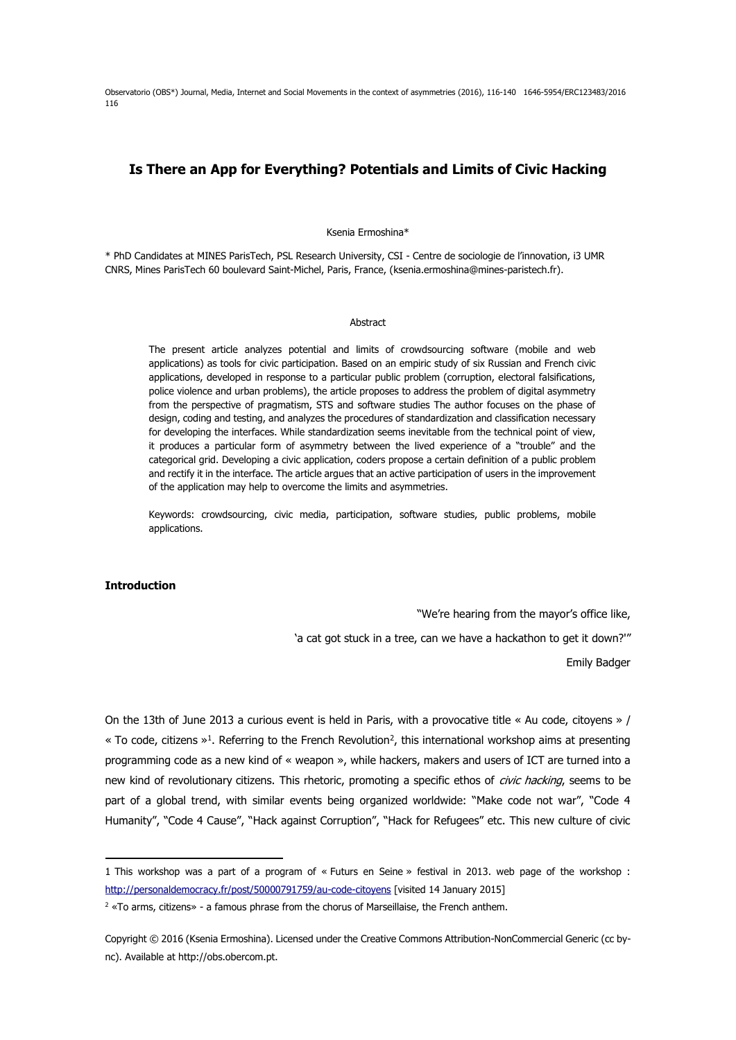Observatorio (OBS\*) Journal, Media, Internet and Social Movements in the context of asymmetries (2016), 116-140 1646-5954/ERC123483/2016 116

# **Is There an App for Everything? Potentials and Limits of Civic Hacking**

#### Ksenia Ermoshina\*

\* PhD Candidates at MINES ParisTech, PSL Research University, CSI - Centre de sociologie de l'innovation, i3 UMR CNRS, Mines ParisTech 60 boulevard Saint-Michel, Paris, France, (ksenia.ermoshina@mines-paristech.fr).

## Abstract

The present article analyzes potential and limits of crowdsourcing software (mobile and web applications) as tools for civic participation. Based on an empiric study of six Russian and French civic applications, developed in response to a particular public problem (corruption, electoral falsifications, police violence and urban problems), the article proposes to address the problem of digital asymmetry from the perspective of pragmatism, STS and software studies The author focuses on the phase of design, coding and testing, and analyzes the procedures of standardization and classification necessary for developing the interfaces. While standardization seems inevitable from the technical point of view, it produces a particular form of asymmetry between the lived experience of a "trouble" and the categorical grid. Developing a civic application, coders propose a certain definition of a public problem and rectify it in the interface. The article argues that an active participation of users in the improvement of the application may help to overcome the limits and asymmetries.

Keywords: crowdsourcing, civic media, participation, software studies, public problems, mobile applications.

# **Introduction**

1

"We're hearing from the mayor's office like,

'a cat got stuck in a tree, can we have a hackathon to get it down?'"

Emily Badger

On the 13th of June 2013 a curious event is held in Paris, with a provocative title « Au code, citoyens » / « To code, citizens » 1 . Referring to the French Revolution<sup>2</sup> , this international workshop aims at presenting programming code as a new kind of « weapon », while hackers, makers and users of ICT are turned into a new kind of revolutionary citizens. This rhetoric, promoting a specific ethos of *civic hacking*, seems to be part of a global trend, with similar events being organized worldwide: "Make code not war", "Code 4 Humanity", "Code 4 Cause", "Hack against Corruption", "Hack for Refugees" etc. This new culture of civic

<sup>1</sup> This workshop was a part of a program of « Futurs en Seine » festival in 2013. web page of the workshop : <http://personaldemocracy.fr/post/50000791759/au-code-citoyens> [visited 14 January 2015]

 $2 \times 7$  o arms, citizens» - a famous phrase from the chorus of Marseillaise, the French anthem.

Copyright © 2016 (Ksenia Ermoshina). Licensed under the Creative Commons Attribution-NonCommercial Generic (cc bync). Available at http://obs.obercom.pt.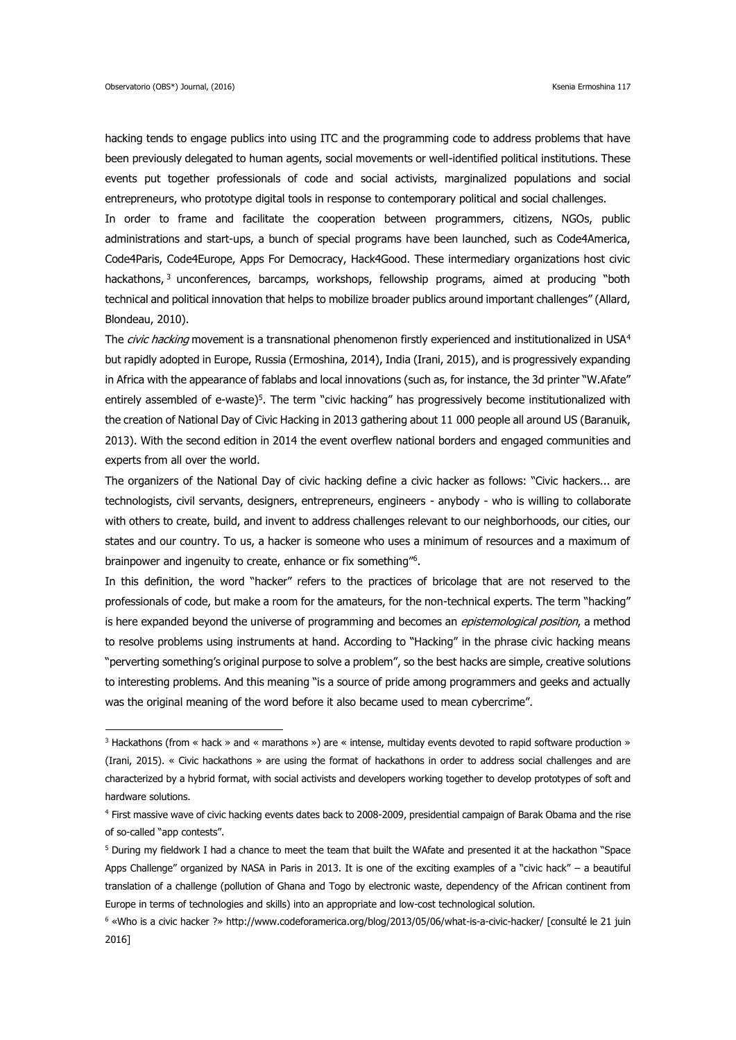hacking tends to engage publics into using ITC and the programming code to address problems that have been previously delegated to human agents, social movements or well-identified political institutions. These events put together professionals of code and social activists, marginalized populations and social entrepreneurs, who prototype digital tools in response to contemporary political and social challenges.

In order to frame and facilitate the cooperation between programmers, citizens, NGOs, public administrations and start-ups, a bunch of special programs have been launched, such as Code4America, Code4Paris, Code4Europe, Apps For Democracy, Hack4Good. These intermediary organizations host civic hackathons,  $3$  unconferences, barcamps, workshops, fellowship programs, aimed at producing "both technical and political innovation that helps to mobilize broader publics around important challenges" (Allard, Blondeau, 2010).

The *civic hacking* movement is a transnational phenomenon firstly experienced and institutionalized in USA<sup>4</sup> but rapidly adopted in Europe, Russia (Ermoshina, 2014), India (Irani, 2015), and is progressively expanding in Africa with the appearance of fablabs and local innovations (such as, for instance, the 3d printer "W.Afate" entirely assembled of e-waste)<sup>5</sup>. The term "civic hacking" has progressively become institutionalized with the creation of National Day of Civic Hacking in 2013 gathering about 11 000 people all around US (Baranuik, 2013). With the second edition in 2014 the event overflew national borders and engaged communities and experts from all over the world.

The organizers of the National Day of civic hacking define a civic hacker as follows: "Civic hackers... are technologists, civil servants, designers, entrepreneurs, engineers - anybody - who is willing to collaborate with others to create, build, and invent to address challenges relevant to our neighborhoods, our cities, our states and our country. To us, a hacker is someone who uses a minimum of resources and a maximum of brainpower and ingenuity to create, enhance or fix something<sup>16</sup>.

In this definition, the word "hacker" refers to the practices of bricolage that are not reserved to the professionals of code, but make a room for the amateurs, for the non-technical experts. The term "hacking" is here expanded beyond the universe of programming and becomes an *epistemological position*, a method to resolve problems using instruments at hand. According to "Hacking" in the phrase civic hacking means "perverting something's original purpose to solve a problem", so the best hacks are simple, creative solutions to interesting problems. And this meaning "is a source of pride among programmers and geeks and actually was the original meaning of the word before it also became used to mean cybercrime".

1

<sup>3</sup> Hackathons (from « hack » and « marathons ») are « intense, multiday events devoted to rapid software production » (Irani, 2015). « Civic hackathons » are using the format of hackathons in order to address social challenges and are characterized by a hybrid format, with social activists and developers working together to develop prototypes of soft and hardware solutions.

<sup>4</sup> First massive wave of civic hacking events dates back to 2008-2009, presidential campaign of Barak Obama and the rise of so-called "app contests".

<sup>5</sup> During my fieldwork I had a chance to meet the team that built the WAfate and presented it at the hackathon "Space Apps Challenge" organized by NASA in Paris in 2013. It is one of the exciting examples of a "civic hack" – a beautiful translation of a challenge (pollution of Ghana and Togo by electronic waste, dependency of the African continent from Europe in terms of technologies and skills) into an appropriate and low-cost technological solution.

<sup>6</sup> «Who is a civic hacker ?» http://www.codeforamerica.org/blog/2013/05/06/what-is-a-civic-hacker/ [consulté le 21 juin 2016]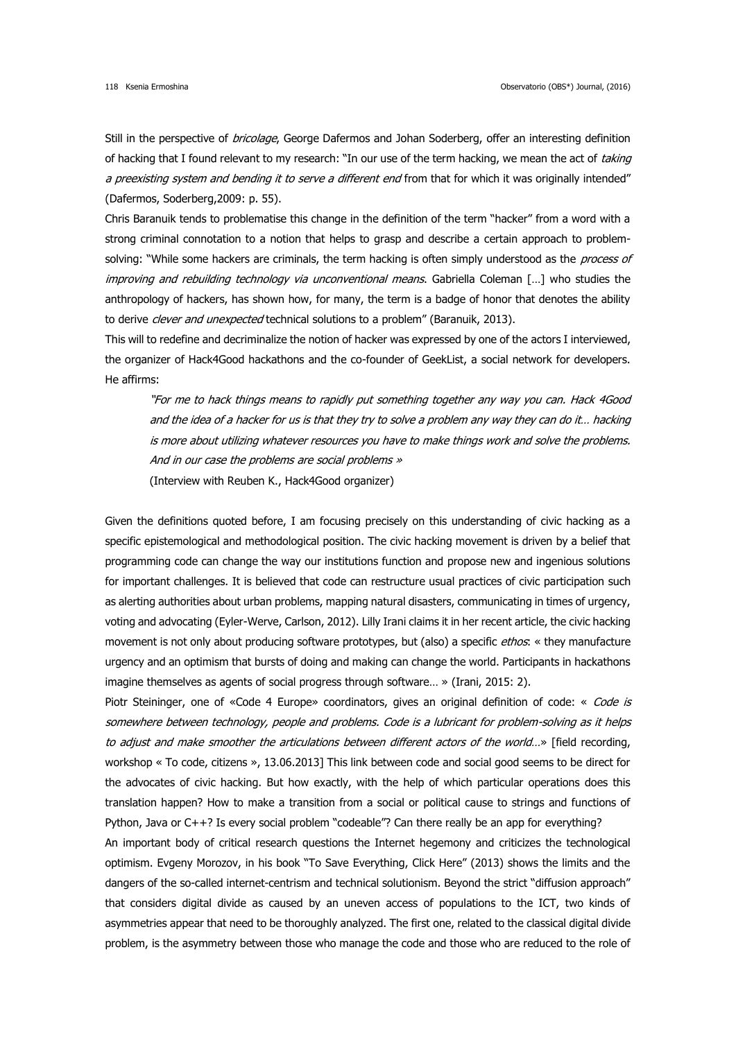Still in the perspective of *bricolage*, George Dafermos and Johan Soderberg, offer an interesting definition of hacking that I found relevant to my research: "In our use of the term hacking, we mean the act of taking a preexisting system and bending it to serve a different end from that for which it was originally intended" (Dafermos, Soderberg,2009: p. 55).

Chris Baranuik tends to problematise this change in the definition of the term "hacker" from a word with a strong criminal connotation to a notion that helps to grasp and describe a certain approach to problemsolving: "While some hackers are criminals, the term hacking is often simply understood as the *process of* improving and rebuilding technology via unconventional means. Gabriella Coleman [...] who studies the anthropology of hackers, has shown how, for many, the term is a badge of honor that denotes the ability to derive *clever and unexpected* technical solutions to a problem" (Baranuik, 2013).

This will to redefine and decriminalize the notion of hacker was expressed by one of the actors I interviewed, the organizer of Hack4Good hackathons and the co-founder of GeekList, a social network for developers. He affirms:

"For me to hack things means to rapidly put something together any way you can. Hack 4Good and the idea of a hacker for us is that they try to solve a problem any way they can do it… hacking is more about utilizing whatever resources you have to make things work and solve the problems. And in our case the problems are social problems » (Interview with Reuben K., Hack4Good organizer)

Given the definitions quoted before, I am focusing precisely on this understanding of civic hacking as a specific epistemological and methodological position. The civic hacking movement is driven by a belief that programming code can change the way our institutions function and propose new and ingenious solutions for important challenges. It is believed that code can restructure usual practices of civic participation such as alerting authorities about urban problems, mapping natural disasters, communicating in times of urgency, voting and advocating (Eyler-Werve, Carlson, 2012). Lilly Irani claims it in her recent article, the civic hacking movement is not only about producing software prototypes, but (also) a specific *ethos*: « they manufacture urgency and an optimism that bursts of doing and making can change the world. Participants in hackathons imagine themselves as agents of social progress through software… » (Irani, 2015: 2).

Piotr Steininger, one of «Code 4 Europe» coordinators, gives an original definition of code: « Code is somewhere between technology, people and problems. Code is a lubricant for problem-solving as it helps to adjust and make smoother the articulations between different actors of the world...» [field recording, workshop « To code, citizens », 13.06.2013] This link between code and social good seems to be direct for the advocates of civic hacking. But how exactly, with the help of which particular operations does this translation happen? How to make a transition from a social or political cause to strings and functions of Python, Java or C++? Is every social problem "codeable"? Can there really be an app for everything?

An important body of critical research questions the Internet hegemony and criticizes the technological optimism. Evgeny Morozov, in his book "To Save Everything, Click Here" (2013) shows the limits and the dangers of the so-called internet-centrism and technical solutionism. Beyond the strict "diffusion approach" that considers digital divide as caused by an uneven access of populations to the ICT, two kinds of asymmetries appear that need to be thoroughly analyzed. The first one, related to the classical digital divide problem, is the asymmetry between those who manage the code and those who are reduced to the role of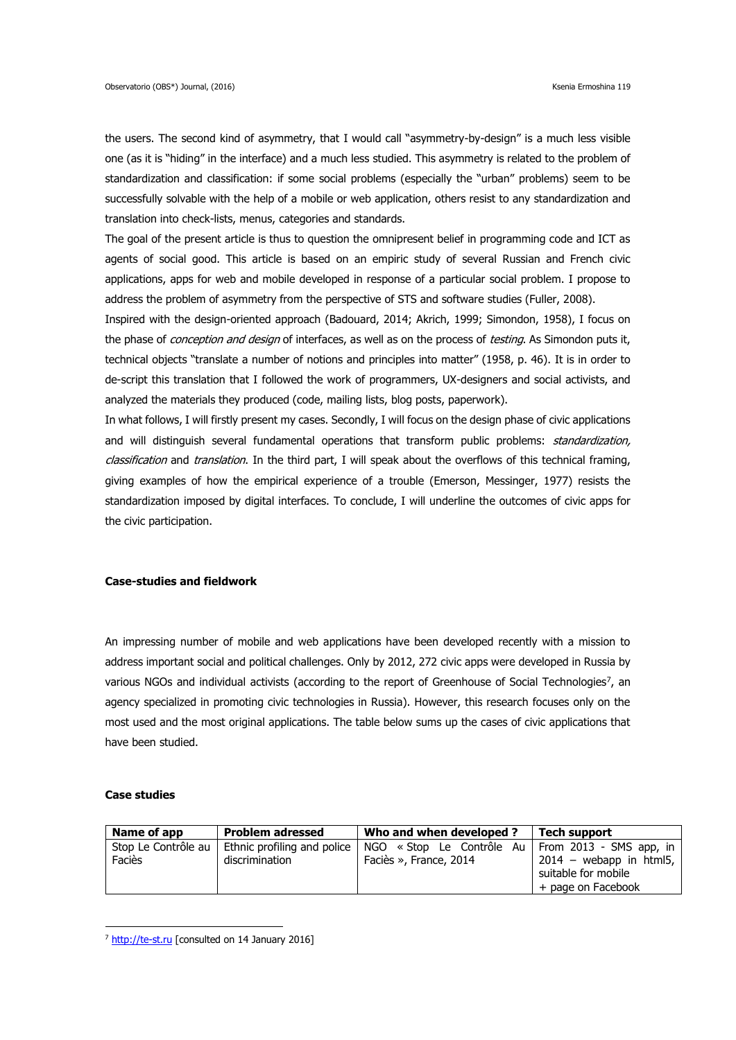the users. The second kind of asymmetry, that I would call "asymmetry-by-design" is a much less visible one (as it is "hiding" in the interface) and a much less studied. This asymmetry is related to the problem of standardization and classification: if some social problems (especially the "urban" problems) seem to be successfully solvable with the help of a mobile or web application, others resist to any standardization and translation into check-lists, menus, categories and standards.

The goal of the present article is thus to question the omnipresent belief in programming code and ICT as agents of social good. This article is based on an empiric study of several Russian and French civic applications, apps for web and mobile developed in response of a particular social problem. I propose to address the problem of asymmetry from the perspective of STS and software studies (Fuller, 2008).

Inspired with the design-oriented approach (Badouard, 2014; Akrich, 1999; Simondon, 1958), I focus on the phase of *conception and design* of interfaces, as well as on the process of *testing*. As Simondon puts it, technical objects "translate a number of notions and principles into matter" (1958, p. 46). It is in order to de-script this translation that I followed the work of programmers, UX-designers and social activists, and analyzed the materials they produced (code, mailing lists, blog posts, paperwork).

In what follows, I will firstly present my cases. Secondly, I will focus on the design phase of civic applications and will distinguish several fundamental operations that transform public problems: *standardization*, classification and translation. In the third part, I will speak about the overflows of this technical framing, giving examples of how the empirical experience of a trouble (Emerson, Messinger, 1977) resists the standardization imposed by digital interfaces. To conclude, I will underline the outcomes of civic apps for the civic participation.

### **Case-studies and fieldwork**

An impressing number of mobile and web applications have been developed recently with a mission to address important social and political challenges. Only by 2012, 272 civic apps were developed in Russia by various NGOs and individual activists (according to the report of Greenhouse of Social Technologies<sup>7</sup>, an agency specialized in promoting civic technologies in Russia). However, this research focuses only on the most used and the most original applications. The table below sums up the cases of civic applications that have been studied.

# **Case studies**

1

| Name of app                   | <b>Problem adressed</b>                       | Who and when developed?                                                    | Tech support                                                           |
|-------------------------------|-----------------------------------------------|----------------------------------------------------------------------------|------------------------------------------------------------------------|
| Stop Le Contrôle au<br>Faciès | Ethnic profiling and police<br>discrimination | NGO «Stop Le Contrôle Au From 2013 - SMS app, in<br>Faciès », France, 2014 | $2014 -$ webapp in html5,<br>suitable for mobile<br>+ page on Facebook |

<sup>&</sup>lt;sup>7</sup> [http://te-st.ru](http://te-st.ru/) [consulted on 14 January 2016]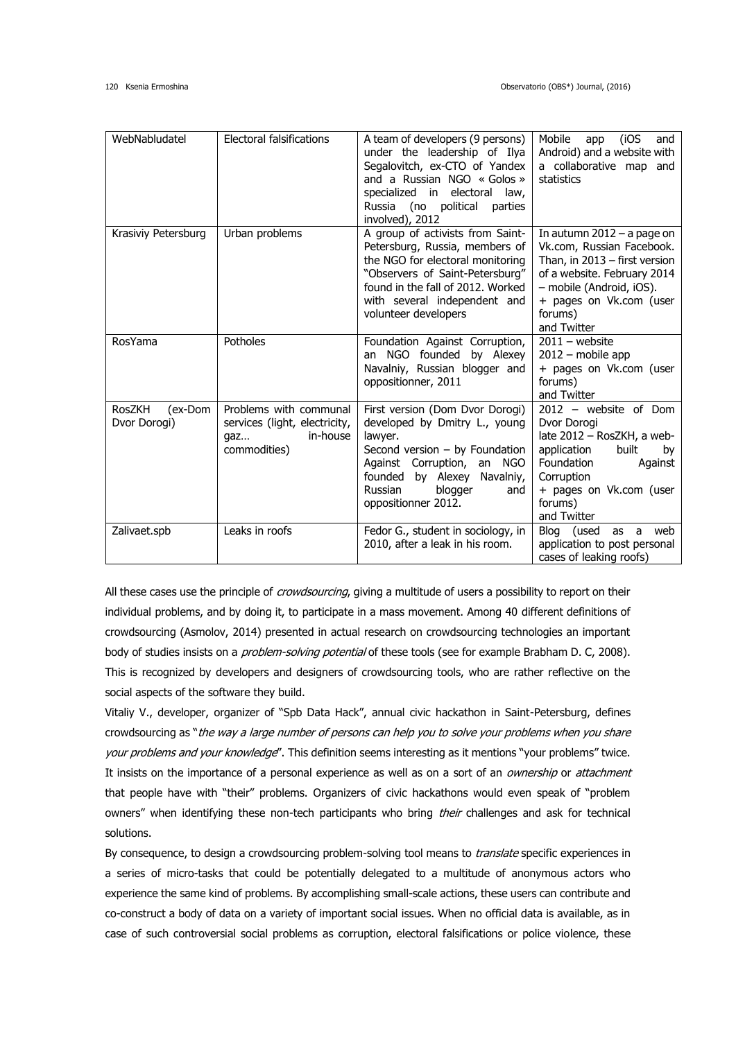| WebNabludatel                     | Electoral falsifications                                                                   | A team of developers (9 persons)<br>under the leadership of Ilya<br>Segalovitch, ex-CTO of Yandex<br>and a Russian NGO « Golos »<br>specialized in electoral law,<br>Russia (no<br>political<br>parties<br>involved), 2012                    | Mobile<br>(iOS<br>app<br>and<br>Android) and a website with<br>a collaborative map and<br>statistics                                                                                                         |
|-----------------------------------|--------------------------------------------------------------------------------------------|-----------------------------------------------------------------------------------------------------------------------------------------------------------------------------------------------------------------------------------------------|--------------------------------------------------------------------------------------------------------------------------------------------------------------------------------------------------------------|
| Krasiviy Petersburg               | Urban problems                                                                             | A group of activists from Saint-<br>Petersburg, Russia, members of<br>the NGO for electoral monitoring<br>"Observers of Saint-Petersburg"<br>found in the fall of 2012. Worked<br>with several independent and<br>volunteer developers        | In autumn $2012 - a$ page on<br>Vk.com, Russian Facebook.<br>Than, in $2013$ – first version<br>of a website. February 2014<br>- mobile (Android, iOS).<br>+ pages on Vk.com (user<br>forums)<br>and Twitter |
| RosYama                           | Potholes                                                                                   | Foundation Against Corruption,<br>an NGO founded by Alexey<br>Navalniy, Russian blogger and<br>oppositionner, 2011                                                                                                                            | $2011 -$ website<br>$2012 - \text{mobile app}$<br>+ pages on Vk.com (user<br>forums)<br>and Twitter                                                                                                          |
| RosZKH<br>(ex-Dom<br>Dvor Dorogi) | Problems with communal<br>services (light, electricity,<br>in-house<br>gaz<br>commodities) | First version (Dom Dvor Dorogi)<br>developed by Dmitry L., young<br>lawyer.<br>Second version $-$ by Foundation<br>Against Corruption, an<br><b>NGO</b><br>founded<br>by Alexey Navalniy,<br>Russian<br>blogger<br>and<br>oppositionner 2012. | 2012 - website of Dom<br>Dvor Dorogi<br>late 2012 - RosZKH, a web-<br>application<br>built<br>by<br>Foundation<br>Against<br>Corruption<br>+ pages on Vk.com (user<br>forums)<br>and Twitter                 |
| Zalivaet.spb                      | Leaks in roofs                                                                             | Fedor G., student in sociology, in<br>2010, after a leak in his room.                                                                                                                                                                         | Blog (used<br>web<br>as<br>a<br>application to post personal<br>cases of leaking roofs)                                                                                                                      |

All these cases use the principle of *crowdsourcing*, giving a multitude of users a possibility to report on their individual problems, and by doing it, to participate in a mass movement. Among 40 different definitions of crowdsourcing (Asmolov, 2014) presented in actual research on crowdsourcing technologies an important body of studies insists on a *problem-solving potential* of these tools (see for example Brabham D. C, 2008). This is recognized by developers and designers of crowdsourcing tools, who are rather reflective on the social aspects of the software they build.

Vitaliy V., developer, organizer of "Spb Data Hack", annual civic hackathon in Saint-Petersburg, defines crowdsourcing as "the way a large number of persons can help you to solve your problems when you share your problems and your knowledge". This definition seems interesting as it mentions "your problems" twice. It insists on the importance of a personal experience as well as on a sort of an *ownership* or *attachment* that people have with "their" problems. Organizers of civic hackathons would even speak of "problem owners" when identifying these non-tech participants who bring their challenges and ask for technical solutions.

By consequence, to design a crowdsourcing problem-solving tool means to *translate* specific experiences in a series of micro-tasks that could be potentially delegated to a multitude of anonymous actors who experience the same kind of problems. By accomplishing small-scale actions, these users can contribute and co-construct a body of data on a variety of important social issues. When no official data is available, as in case of such controversial social problems as corruption, electoral falsifications or police violence, these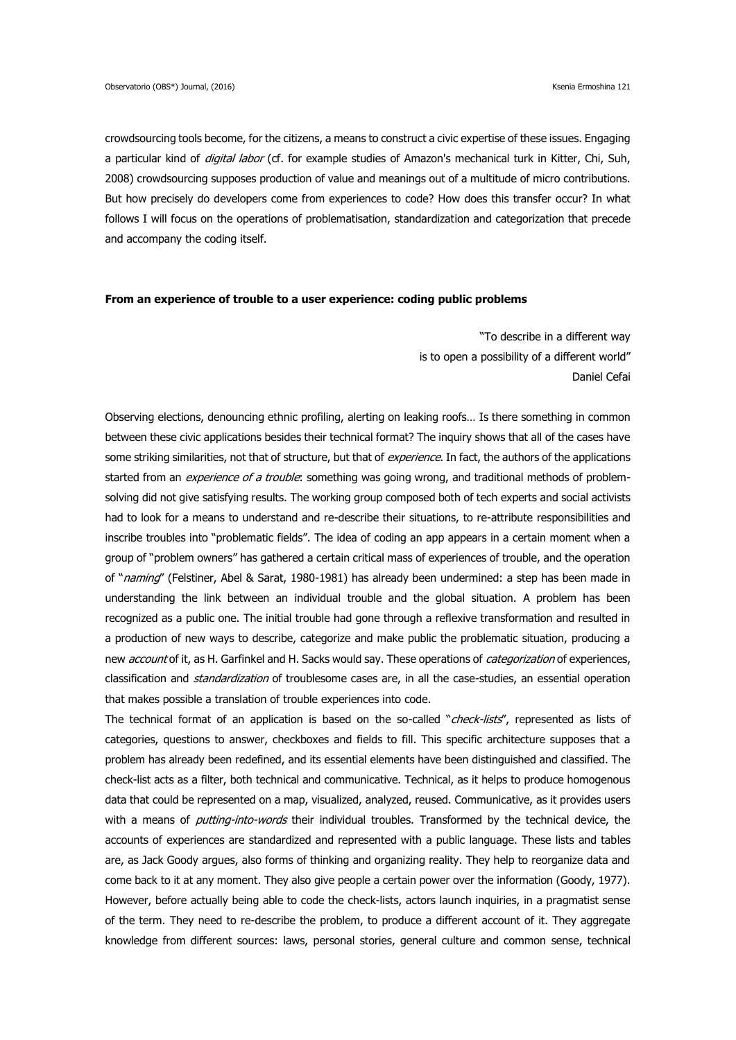crowdsourcing tools become, for the citizens, a means to construct a civic expertise of these issues. Engaging a particular kind of *digital labor* (cf. for example studies of Amazon's mechanical turk in Kitter, Chi, Suh, 2008) crowdsourcing supposes production of value and meanings out of a multitude of micro contributions. But how precisely do developers come from experiences to code? How does this transfer occur? In what follows I will focus on the operations of problematisation, standardization and categorization that precede and accompany the coding itself.

### **From an experience of trouble to a user experience: coding public problems**

"To describe in a different way is to open a possibility of a different world" Daniel Cefai

Observing elections, denouncing ethnic profiling, alerting on leaking roofs… Is there something in common between these civic applications besides their technical format? The inquiry shows that all of the cases have some striking similarities, not that of structure, but that of *experience*. In fact, the authors of the applications started from an *experience of a trouble*: something was going wrong, and traditional methods of problemsolving did not give satisfying results. The working group composed both of tech experts and social activists had to look for a means to understand and re-describe their situations, to re-attribute responsibilities and inscribe troubles into "problematic fields". The idea of coding an app appears in a certain moment when a group of "problem owners" has gathered a certain critical mass of experiences of trouble, and the operation of "naming" (Felstiner, Abel & Sarat, 1980-1981) has already been undermined: a step has been made in understanding the link between an individual trouble and the global situation. A problem has been recognized as a public one. The initial trouble had gone through a reflexive transformation and resulted in a production of new ways to describe, categorize and make public the problematic situation, producing a new *account* of it, as H. Garfinkel and H. Sacks would say. These operations of *categorization* of experiences, classification and *standardization* of troublesome cases are, in all the case-studies, an essential operation that makes possible a translation of trouble experiences into code.

The technical format of an application is based on the so-called "check-lists", represented as lists of categories, questions to answer, checkboxes and fields to fill. This specific architecture supposes that a problem has already been redefined, and its essential elements have been distinguished and classified. The check-list acts as a filter, both technical and communicative. Technical, as it helps to produce homogenous data that could be represented on a map, visualized, analyzed, reused. Communicative, as it provides users with a means of *putting-into-words* their individual troubles. Transformed by the technical device, the accounts of experiences are standardized and represented with a public language. These lists and tables are, as Jack Goody argues, also forms of thinking and organizing reality. They help to reorganize data and come back to it at any moment. They also give people a certain power over the information (Goody, 1977). However, before actually being able to code the check-lists, actors launch inquiries, in a pragmatist sense of the term. They need to re-describe the problem, to produce a different account of it. They aggregate knowledge from different sources: laws, personal stories, general culture and common sense, technical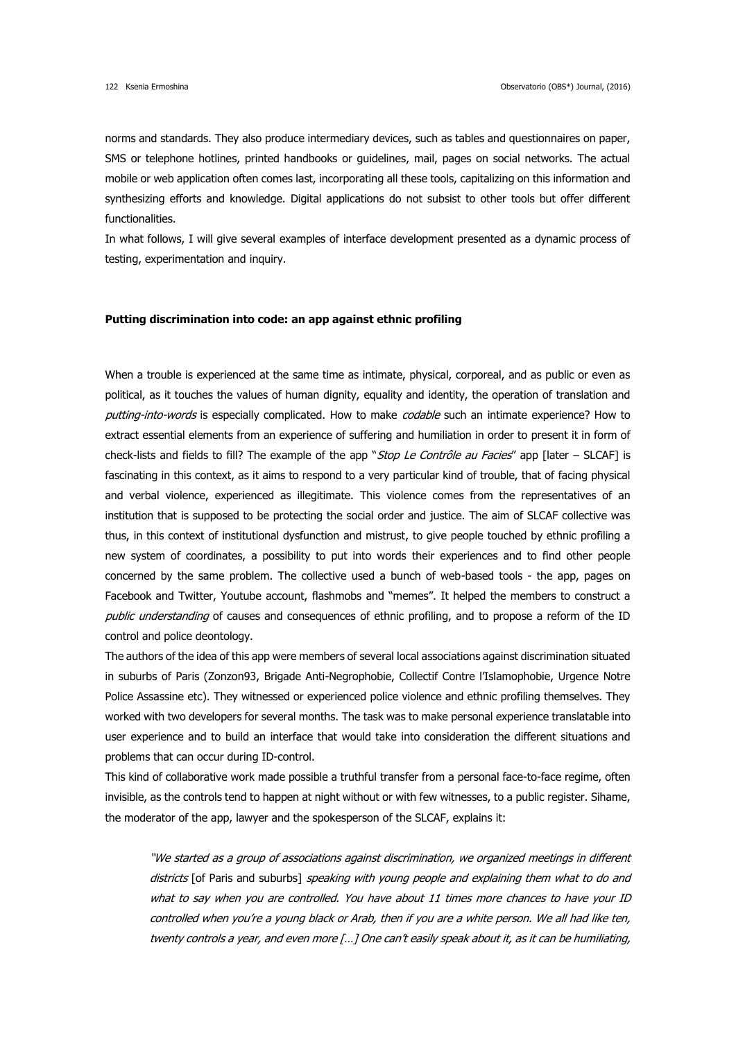norms and standards. They also produce intermediary devices, such as tables and questionnaires on paper, SMS or telephone hotlines, printed handbooks or guidelines, mail, pages on social networks. The actual mobile or web application often comes last, incorporating all these tools, capitalizing on this information and synthesizing efforts and knowledge. Digital applications do not subsist to other tools but offer different functionalities.

In what follows, I will give several examples of interface development presented as a dynamic process of testing, experimentation and inquiry.

# **Putting discrimination into code: an app against ethnic profiling**

When a trouble is experienced at the same time as intimate, physical, corporeal, and as public or even as political, as it touches the values of human dignity, equality and identity, the operation of translation and putting-into-words is especially complicated. How to make codable such an intimate experience? How to extract essential elements from an experience of suffering and humiliation in order to present it in form of check-lists and fields to fill? The example of the app "Stop Le Contrôle au Facies" app [later – SLCAF] is fascinating in this context, as it aims to respond to a very particular kind of trouble, that of facing physical and verbal violence, experienced as illegitimate. This violence comes from the representatives of an institution that is supposed to be protecting the social order and justice. The aim of SLCAF collective was thus, in this context of institutional dysfunction and mistrust, to give people touched by ethnic profiling a new system of coordinates, a possibility to put into words their experiences and to find other people concerned by the same problem. The collective used a bunch of web-based tools - the app, pages on Facebook and Twitter, Youtube account, flashmobs and "memes". It helped the members to construct a public understanding of causes and consequences of ethnic profiling, and to propose a reform of the ID control and police deontology.

The authors of the idea of this app were members of several local associations against discrimination situated in suburbs of Paris (Zonzon93, Brigade Anti-Negrophobie, Collectif Contre l'Islamophobie, Urgence Notre Police Assassine etc). They witnessed or experienced police violence and ethnic profiling themselves. They worked with two developers for several months. The task was to make personal experience translatable into user experience and to build an interface that would take into consideration the different situations and problems that can occur during ID-control.

This kind of collaborative work made possible a truthful transfer from a personal face-to-face regime, often invisible, as the controls tend to happen at night without or with few witnesses, to a public register. Sihame, the moderator of the app, lawyer and the spokesperson of the SLCAF, explains it:

"We started as a group of associations against discrimination, we organized meetings in different districts [of Paris and suburbs] speaking with young people and explaining them what to do and what to say when you are controlled. You have about 11 times more chances to have your ID controlled when you're a young black or Arab, then if you are a white person. We all had like ten, twenty controls a year, and even more […] One can't easily speak about it, as it can be humiliating,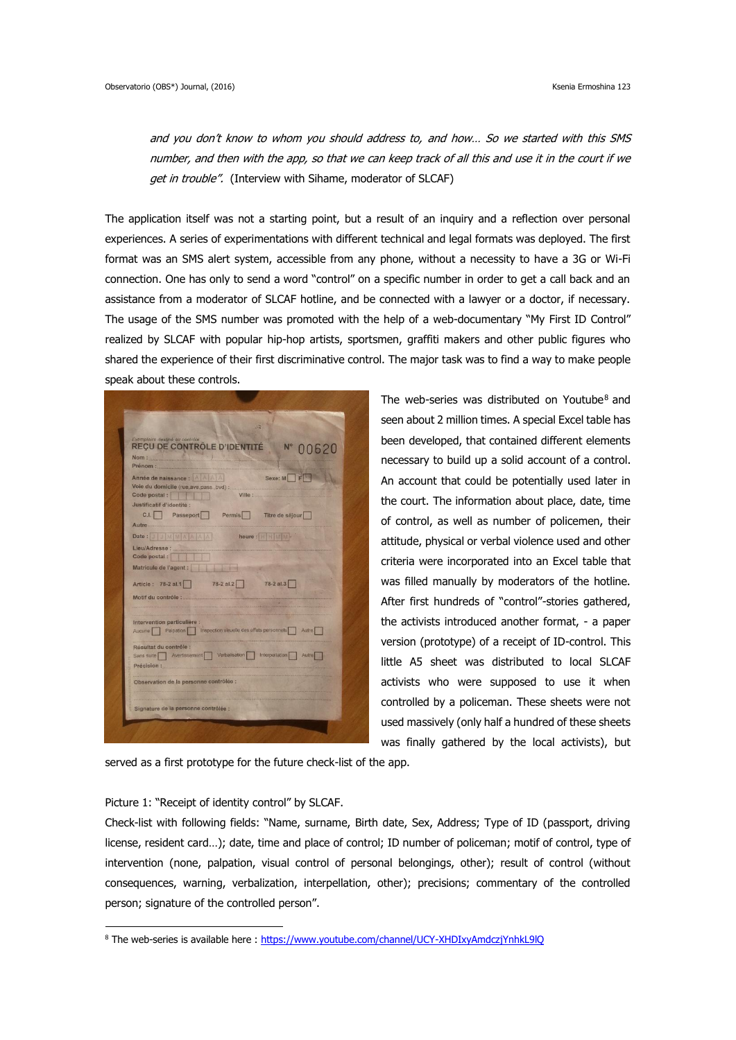and you don't know to whom you should address to, and how… So we started with this SMS number, and then with the app, so that we can keep track of all this and use it in the court if we get in trouble". (Interview with Sihame, moderator of SLCAF)

The application itself was not a starting point, but a result of an inquiry and a reflection over personal experiences. A series of experimentations with different technical and legal formats was deployed. The first format was an SMS alert system, accessible from any phone, without a necessity to have a 3G or Wi-Fi connection. One has only to send a word "control" on a specific number in order to get a call back and an assistance from a moderator of SLCAF hotline, and be connected with a lawyer or a doctor, if necessary. The usage of the SMS number was promoted with the help of a web-documentary "My First ID Control" realized by SLCAF with popular hip-hop artists, sportsmen, graffiti makers and other public figures who shared the experience of their first discriminative control. The major task was to find a way to make people speak about these controls.

REÇU DE CONTRÔLE D'IDENTITÉ N° 00620 Prénom Année de naissance : AAAAA Sexe: MOFO Voie du domicile (rue ave pass bvd) :<br>Code postal :<br>Justificatif d'identité : Ville : C.I. Passeport Permis Titre de séjour Autre Date: JUMMAAAAA heure : HHMM Lieu/Adresse :<br>Code postal : Matricule de l'agent : **Acceleration** Article: 78-2 al.1 78-2 al.2 78-2 al.3 Motif du contrôle : ttervention particulière :<br>ucune | Palpation | Inspection visuelle des effets personnels | Autre Sans suite | Avertissement | Verbalisation | Interpellation | Autre Précision Observation de la personne contrôlée Signature de la personne contrôlée

The web-series was distributed on Youtube<sup>8</sup> and seen about 2 million times. A special Excel table has been developed, that contained different elements necessary to build up a solid account of a control. An account that could be potentially used later in the court. The information about place, date, time of control, as well as number of policemen, their attitude, physical or verbal violence used and other criteria were incorporated into an Excel table that was filled manually by moderators of the hotline. After first hundreds of "control"-stories gathered, the activists introduced another format, - a paper version (prototype) of a receipt of ID-control. This little A5 sheet was distributed to local SLCAF activists who were supposed to use it when controlled by a policeman. These sheets were not used massively (only half a hundred of these sheets was finally gathered by the local activists), but

served as a first prototype for the future check-list of the app.

# Picture 1: "Receipt of identity control" by SLCAF.

1

Check-list with following fields: "Name, surname, Birth date, Sex, Address; Type of ID (passport, driving license, resident card…); date, time and place of control; ID number of policeman; motif of control, type of intervention (none, palpation, visual control of personal belongings, other); result of control (without consequences, warning, verbalization, interpellation, other); precisions; commentary of the controlled person; signature of the controlled person".

<sup>8</sup> The web-series is available here:<https://www.youtube.com/channel/UCY-XHDIxyAmdczjYnhkL9lQ>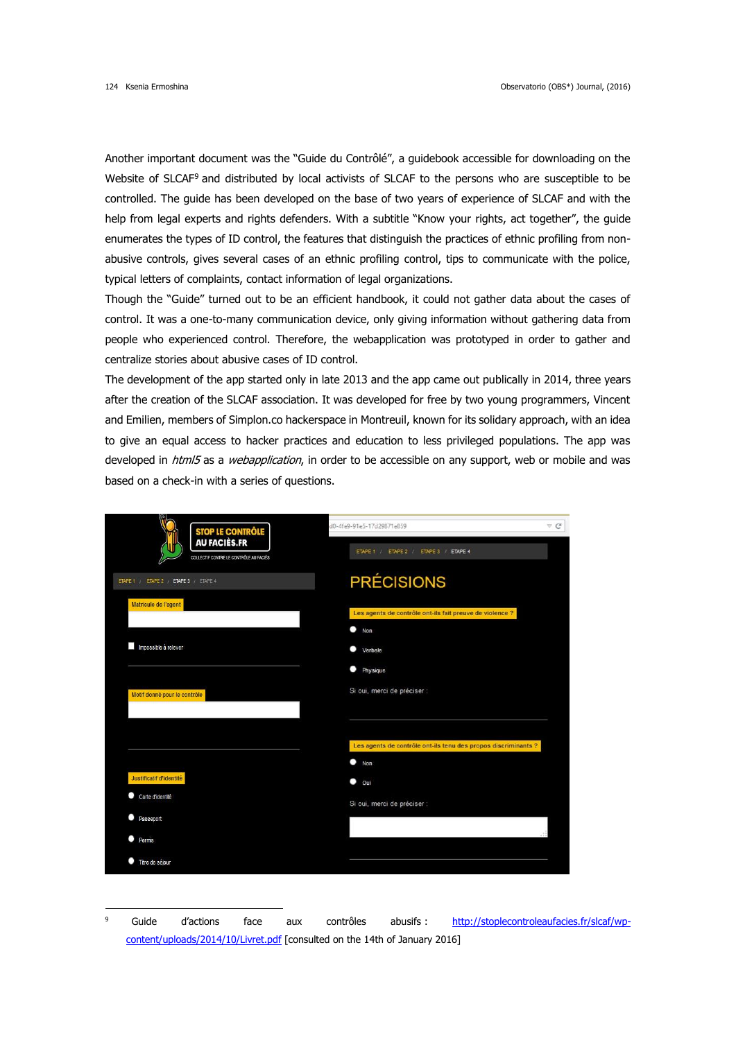<u>.</u>

Another important document was the "Guide du Contrôlé", a guidebook accessible for downloading on the Website of SLCAF<sup>9</sup> and distributed by local activists of SLCAF to the persons who are susceptible to be controlled. The guide has been developed on the base of two years of experience of SLCAF and with the help from legal experts and rights defenders. With a subtitle "Know your rights, act together", the guide enumerates the types of ID control, the features that distinguish the practices of ethnic profiling from nonabusive controls, gives several cases of an ethnic profiling control, tips to communicate with the police, typical letters of complaints, contact information of legal organizations.

Though the "Guide" turned out to be an efficient handbook, it could not gather data about the cases of control. It was a one-to-many communication device, only giving information without gathering data from people who experienced control. Therefore, the webapplication was prototyped in order to gather and centralize stories about abusive cases of ID control.

The development of the app started only in late 2013 and the app came out publically in 2014, three years after the creation of the SLCAF association. It was developed for free by two young programmers, Vincent and Emilien, members of Simplon.co hackerspace in Montreuil, known for its solidary approach, with an idea to give an equal access to hacker practices and education to less privileged populations. The app was developed in html5 as a webapplication, in order to be accessible on any support, web or mobile and was based on a check-in with a series of questions.

| <b>STOP LE CONTRÔLE<br/>AU FACIÈS.FR</b> | $\nabla C$<br>d0-4fe9-91e5-17d29871e859                        |  |  |
|------------------------------------------|----------------------------------------------------------------|--|--|
| COLLECTIF CONTRE LE CONTRÔLE AU FACIÉS   | ETAPE 1 / ETAPE 2 / ETAPE 3 / ETAPE 4                          |  |  |
| ETAPE 1 / ETAPE 2 / ETAPE 3 / ETAPE 4    | <b>PRÉCISIONS</b>                                              |  |  |
| Matricule de l'agent                     | Les agents de contrôle ont-ils fait preuve de violence ?       |  |  |
|                                          | ۰<br>Non                                                       |  |  |
| $\mathcal{L}$<br>Impossible à relever    | Verbale                                                        |  |  |
|                                          | Physique<br>$\blacksquare$                                     |  |  |
| Motif donné pour le contrôle             | Si oui, merci de préciser :                                    |  |  |
|                                          | Les agents de contrôle ont-ils tenu des propos discriminants ? |  |  |
|                                          | Non                                                            |  |  |
| Justificatif d'identité                  | Oui                                                            |  |  |
| ۰<br>Carte d'identité                    | Si oui, merci de préciser :                                    |  |  |
| Passeport                                |                                                                |  |  |
| ۰<br>Permis                              |                                                                |  |  |
| ۰<br>Titre de séjour                     |                                                                |  |  |

Guide d'actions face aux contrôles abusifs : [http://stoplecontroleaufacies.fr/slcaf/wp](http://stoplecontroleaufacies.fr/slcaf/wp-content/uploads/2014/10/Livret.pdf)[content/uploads/2014/10/Livret.pdf](http://stoplecontroleaufacies.fr/slcaf/wp-content/uploads/2014/10/Livret.pdf) [consulted on the 14th of January 2016]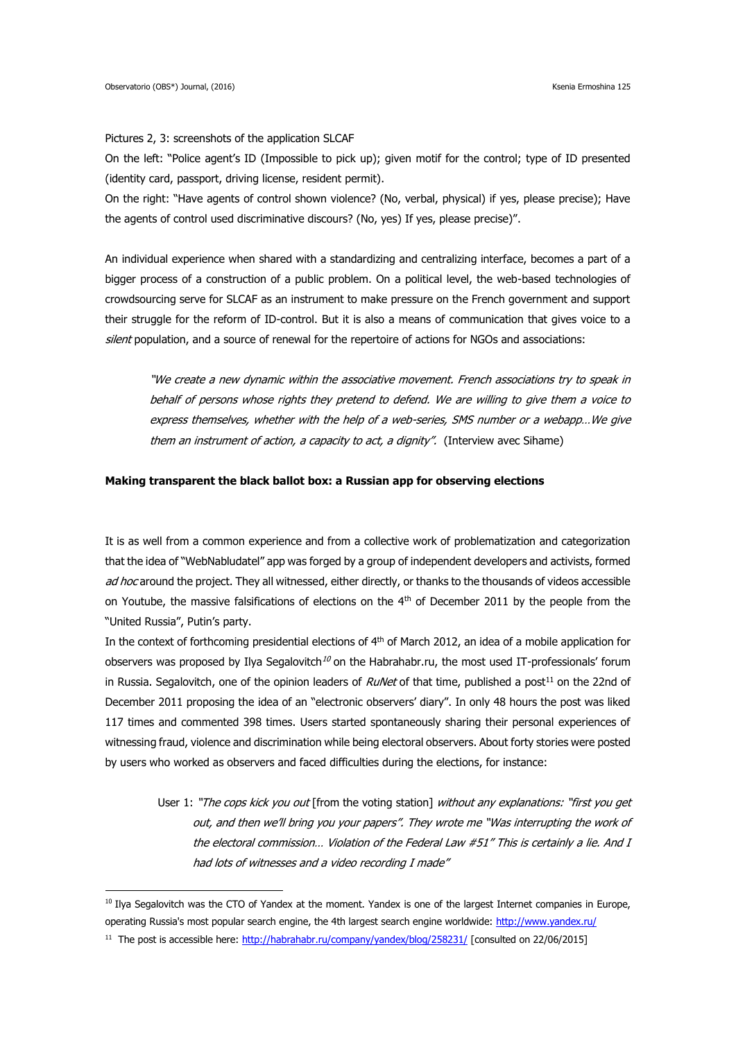1

Pictures 2, 3: screenshots of the application SLCAF

On the left: "Police agent's ID (Impossible to pick up); given motif for the control; type of ID presented (identity card, passport, driving license, resident permit).

On the right: "Have agents of control shown violence? (No, verbal, physical) if yes, please precise); Have the agents of control used discriminative discours? (No, yes) If yes, please precise)".

An individual experience when shared with a standardizing and centralizing interface, becomes a part of a bigger process of a construction of a public problem. On a political level, the web-based technologies of crowdsourcing serve for SLCAF as an instrument to make pressure on the French government and support their struggle for the reform of ID-control. But it is also a means of communication that gives voice to a silent population, and a source of renewal for the repertoire of actions for NGOs and associations:

"We create a new dynamic within the associative movement. French associations try to speak in behalf of persons whose rights they pretend to defend. We are willing to give them a voice to express themselves, whether with the help of a web-series, SMS number or a webapp…We give them an instrument of action, a capacity to act, a dignity". (Interview avec Sihame)

# **Making transparent the black ballot box: a Russian app for observing elections**

It is as well from a common experience and from a collective work of problematization and categorization that the idea of "WebNabludatel" app was forged by a group of independent developers and activists, formed ad hoc around the project. They all witnessed, either directly, or thanks to the thousands of videos accessible on Youtube, the massive falsifications of elections on the 4<sup>th</sup> of December 2011 by the people from the "United Russia", Putin's party.

In the context of forthcoming presidential elections of 4<sup>th</sup> of March 2012, an idea of a mobile application for observers was proposed by Ilya Segalovitch $^{10}$  on the Habrahabr.ru, the most used IT-professionals' forum in Russia. Segalovitch, one of the opinion leaders of RuNet of that time, published a post<sup>11</sup> on the 22nd of December 2011 proposing the idea of an "electronic observers' diary". In only 48 hours the post was liked 117 times and commented 398 times. Users started spontaneously sharing their personal experiences of witnessing fraud, violence and discrimination while being electoral observers. About forty stories were posted by users who worked as observers and faced difficulties during the elections, for instance:

User 1: "The cops kick you out [from the voting station] without any explanations: "first you get out, and then we'll bring you your papers". They wrote me "Was interrupting the work of the electoral commission… Violation of the Federal Law #51" This is certainly a lie. And I had lots of witnesses and a video recording I made"

<sup>&</sup>lt;sup>10</sup> Ilya Segalovitch was the CTO of Yandex at the moment. Yandex is one of the largest Internet companies in Europe, operating Russia's most popular search engine, the 4th largest search engine worldwide:<http://www.yandex.ru/>

<sup>&</sup>lt;sup>11</sup> The post is accessible here[: http://habrahabr.ru/company/yandex/blog/258231/](http://habrahabr.ru/company/yandex/blog/258231/) [consulted on 22/06/2015]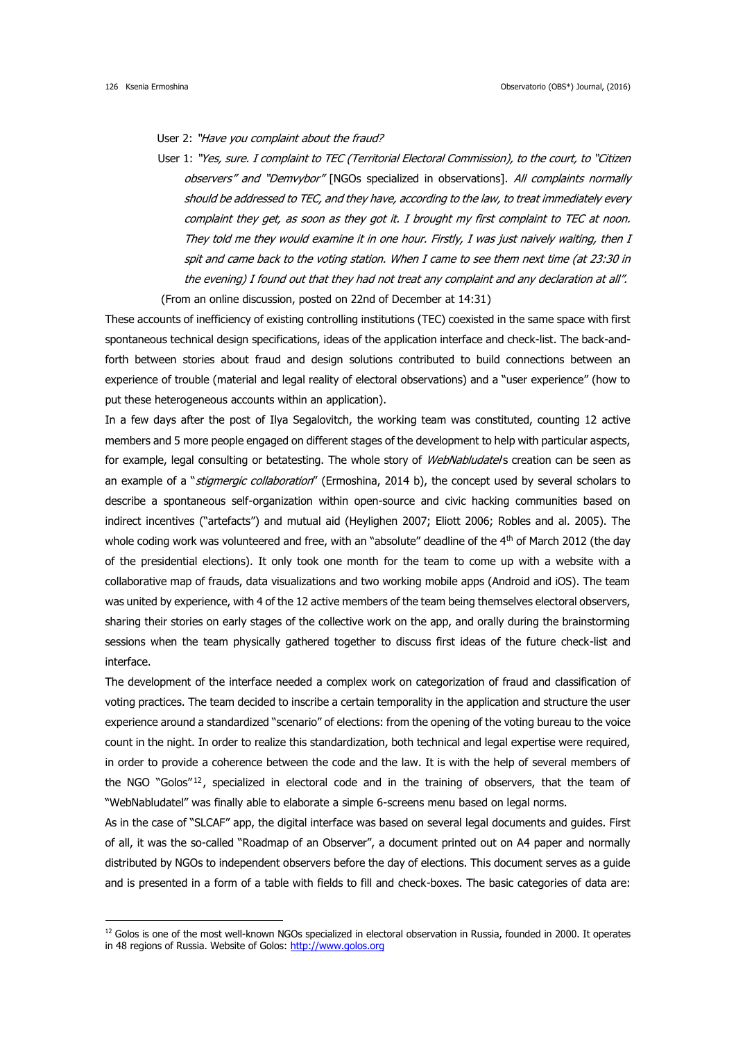1

User 2: "Have you complaint about the fraud?

User 1: "Yes, sure. I complaint to TEC (Territorial Electoral Commission), to the court, to "Citizen observers" and "Demvybor" [NGOs specialized in observations]. All complaints normally should be addressed to TEC, and they have, according to the law, to treat immediately every complaint they get, as soon as they got it. I brought my first complaint to TEC at noon. They told me they would examine it in one hour. Firstly, I was just naively waiting, then I spit and came back to the voting station. When I came to see them next time (at 23:30 in the evening) I found out that they had not treat any complaint and any declaration at all". (From an online discussion, posted on 22nd of December at 14:31)

These accounts of inefficiency of existing controlling institutions (TEC) coexisted in the same space with first spontaneous technical design specifications, ideas of the application interface and check-list. The back-andforth between stories about fraud and design solutions contributed to build connections between an experience of trouble (material and legal reality of electoral observations) and a "user experience" (how to put these heterogeneous accounts within an application).

In a few days after the post of Ilya Segalovitch, the working team was constituted, counting 12 active members and 5 more people engaged on different stages of the development to help with particular aspects, for example, legal consulting or betatesting. The whole story of *WebNabludatels* creation can be seen as an example of a "*stigmergic collaboration*" (Ermoshina, 2014 b), the concept used by several scholars to describe a spontaneous self-organization within open-source and civic hacking communities based on indirect incentives ("artefacts") and mutual aid (Heylighen 2007; Eliott 2006; Robles and al. 2005). The whole coding work was volunteered and free, with an "absolute" deadline of the 4<sup>th</sup> of March 2012 (the day of the presidential elections). It only took one month for the team to come up with a website with a collaborative map of frauds, data visualizations and two working mobile apps (Android and iOS). The team was united by experience, with 4 of the 12 active members of the team being themselves electoral observers, sharing their stories on early stages of the collective work on the app, and orally during the brainstorming sessions when the team physically gathered together to discuss first ideas of the future check-list and interface.

The development of the interface needed a complex work on categorization of fraud and classification of voting practices. The team decided to inscribe a certain temporality in the application and structure the user experience around a standardized "scenario" of elections: from the opening of the voting bureau to the voice count in the night. In order to realize this standardization, both technical and legal expertise were required, in order to provide a coherence between the code and the law. It is with the help of several members of the NGO "Golos"<sup>12</sup>, specialized in electoral code and in the training of observers, that the team of "WebNabludatel" was finally able to elaborate a simple 6-screens menu based on legal norms.

As in the case of "SLCAF" app, the digital interface was based on several legal documents and guides. First of all, it was the so-called "Roadmap of an Observer", a document printed out on A4 paper and normally distributed by NGOs to independent observers before the day of elections. This document serves as a guide and is presented in a form of a table with fields to fill and check-boxes. The basic categories of data are:

<sup>&</sup>lt;sup>12</sup> Golos is one of the most well-known NGOs specialized in electoral observation in Russia, founded in 2000. It operates in 48 regions of Russia. Website of Golos: [http://www.golos.org](http://www.golos.org/)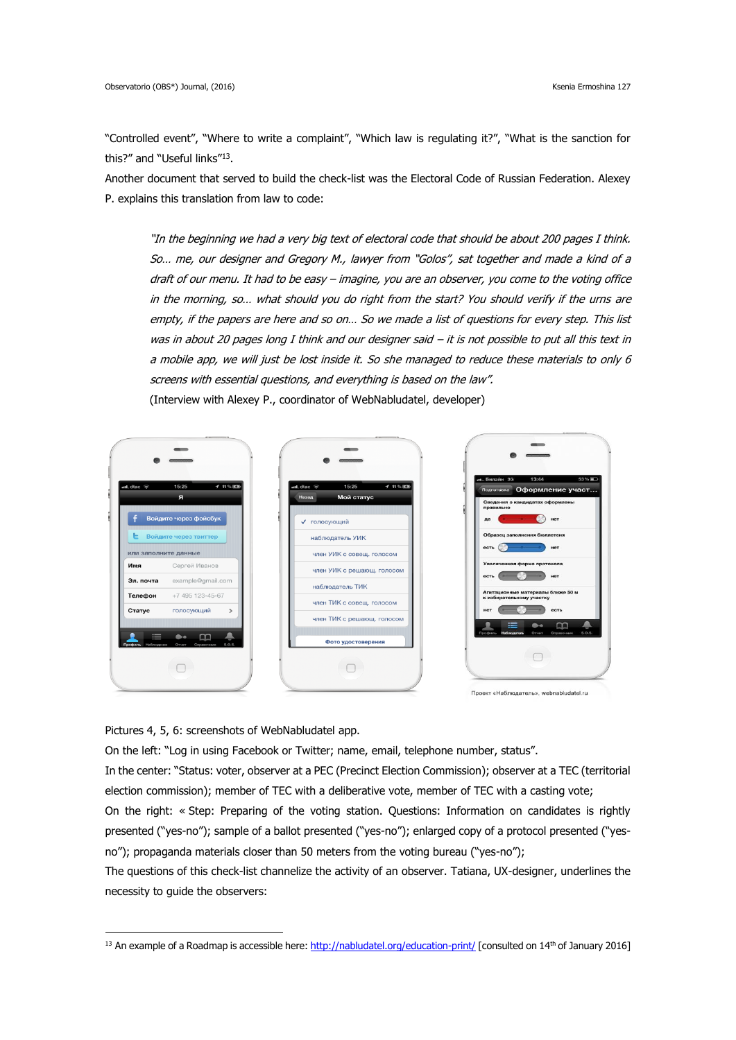"Controlled event", "Where to write a complaint", "Which law is regulating it?", "What is the sanction for this?" and "Useful links"<sup>13</sup>.

Another document that served to build the check-list was the Electoral Code of Russian Federation. Alexey P. explains this translation from law to code:

"In the beginning we had a very big text of electoral code that should be about 200 pages I think. So… me, our designer and Gregory M., lawyer from "Golos", sat together and made a kind of a draft of our menu. It had to be easy – imagine, you are an observer, you come to the voting office in the morning, so… what should you do right from the start? You should verify if the urns are empty, if the papers are here and so on… So we made a list of questions for every step. This list was in about 20 pages long I think and our designer said – it is not possible to put all this text in a mobile app, we will just be lost inside it. So she managed to reduce these materials to only 6 screens with essential questions, and everything is based on the law". (Interview with Alexey P., coordinator of WebNabludatel, developer)



Pictures 4, 5, 6: screenshots of WebNabludatel app.

1

On the left: "Log in using Facebook or Twitter; name, email, telephone number, status".

In the center: "Status: voter, observer at a PEC (Precinct Election Commission); observer at a TEC (territorial election commission); member of TEC with a deliberative vote, member of TEC with a casting vote; On the right: « Step: Preparing of the voting station. Questions: Information on candidates is rightly presented ("yes-no"); sample of a ballot presented ("yes-no"); enlarged copy of a protocol presented ("yes-

no"); propaganda materials closer than 50 meters from the voting bureau ("yes-no");

The questions of this check-list channelize the activity of an observer. Tatiana, UX-designer, underlines the necessity to guide the observers:

<sup>&</sup>lt;sup>13</sup> An example of a Roadmap is accessible here[: http://nabludatel.org/education-print/](http://nabludatel.org/education-print/) [consulted on 14<sup>th</sup> of January 2016]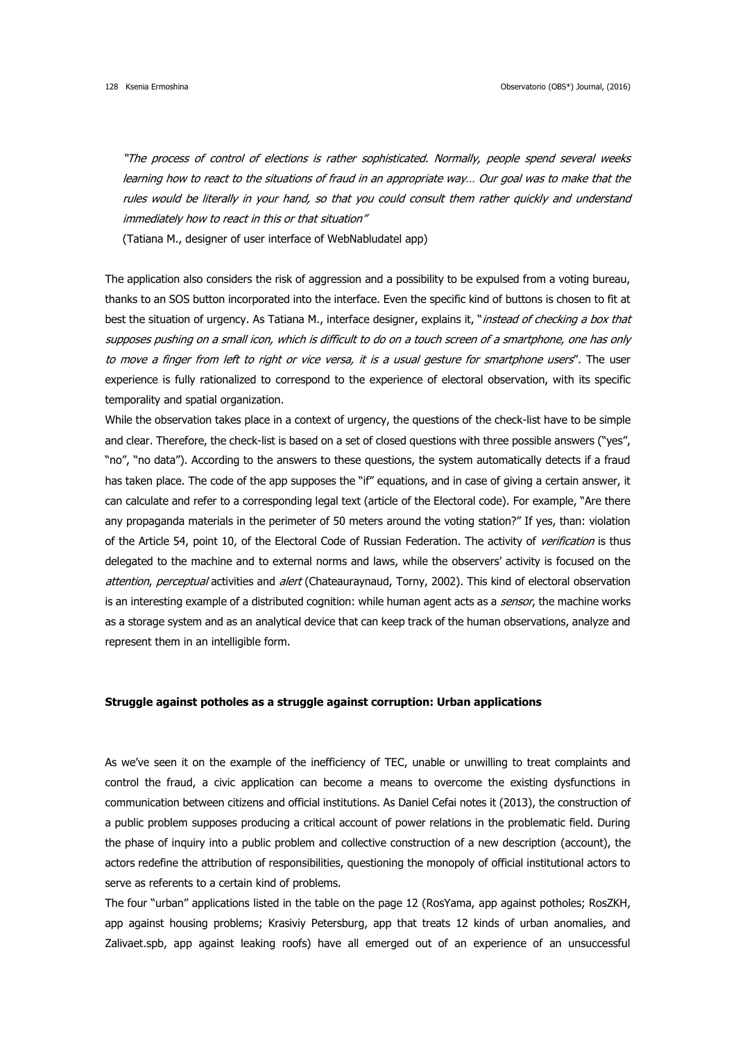"The process of control of elections is rather sophisticated. Normally, people spend several weeks learning how to react to the situations of fraud in an appropriate way… Our goal was to make that the rules would be literally in your hand, so that you could consult them rather quickly and understand immediately how to react in this or that situation"

(Tatiana M., designer of user interface of WebNabludatel app)

The application also considers the risk of aggression and a possibility to be expulsed from a voting bureau, thanks to an SOS button incorporated into the interface. Even the specific kind of buttons is chosen to fit at best the situation of urgency. As Tatiana M., interface designer, explains it, "*instead of checking a box that* supposes pushing on a small icon, which is difficult to do on a touch screen of a smartphone, one has only to move a finger from left to right or vice versa, it is a usual gesture for smartphone users". The user experience is fully rationalized to correspond to the experience of electoral observation, with its specific temporality and spatial organization.

While the observation takes place in a context of urgency, the questions of the check-list have to be simple and clear. Therefore, the check-list is based on a set of closed questions with three possible answers ("yes", "no", "no data"). According to the answers to these questions, the system automatically detects if a fraud has taken place. The code of the app supposes the "if" equations, and in case of giving a certain answer, it can calculate and refer to a corresponding legal text (article of the Electoral code). For example, "Are there any propaganda materials in the perimeter of 50 meters around the voting station?" If yes, than: violation of the Article 54, point 10, of the Electoral Code of Russian Federation. The activity of verification is thus delegated to the machine and to external norms and laws, while the observers' activity is focused on the attention, perceptual activities and alert (Chateauraynaud, Torny, 2002). This kind of electoral observation is an interesting example of a distributed cognition: while human agent acts as a sensor, the machine works as a storage system and as an analytical device that can keep track of the human observations, analyze and represent them in an intelligible form.

### **Struggle against potholes as a struggle against corruption: Urban applications**

As we've seen it on the example of the inefficiency of TEC, unable or unwilling to treat complaints and control the fraud, a civic application can become a means to overcome the existing dysfunctions in communication between citizens and official institutions. As Daniel Cefai notes it (2013), the construction of a public problem supposes producing a critical account of power relations in the problematic field. During the phase of inquiry into a public problem and collective construction of a new description (account), the actors redefine the attribution of responsibilities, questioning the monopoly of official institutional actors to serve as referents to a certain kind of problems.

The four "urban" applications listed in the table on the page 12 (RosYama, app against potholes; RosZKH, app against housing problems; Krasiviy Petersburg, app that treats 12 kinds of urban anomalies, and Zalivaet.spb, app against leaking roofs) have all emerged out of an experience of an unsuccessful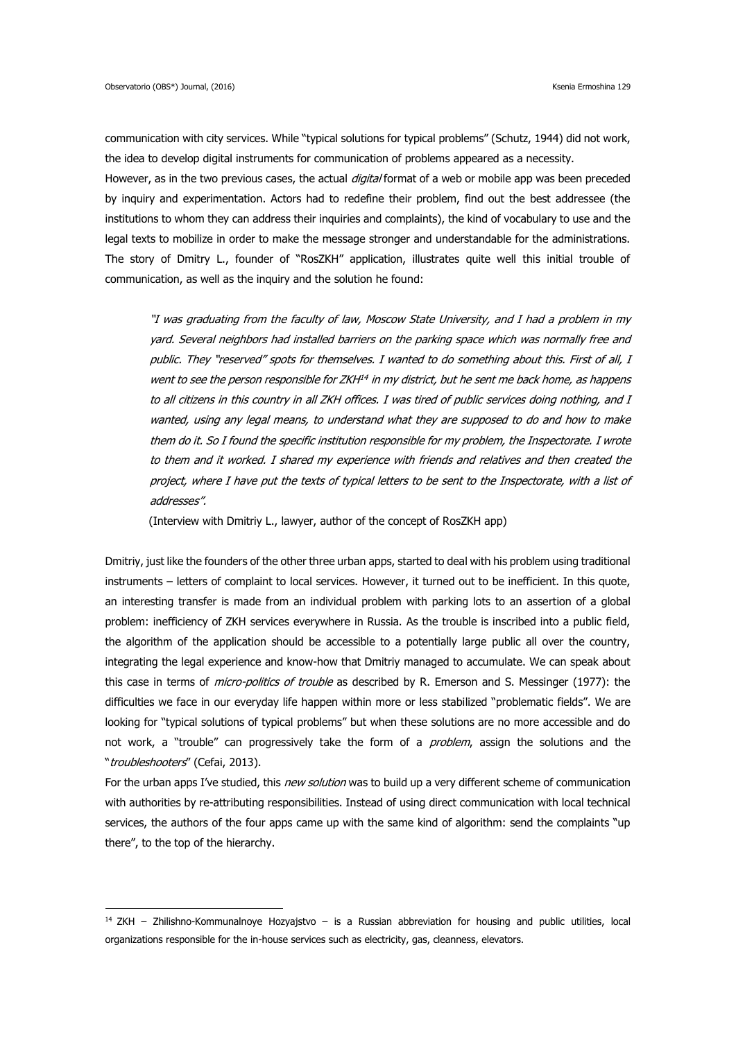<u>.</u>

communication with city services. While "typical solutions for typical problems" (Schutz, 1944) did not work, the idea to develop digital instruments for communication of problems appeared as a necessity.

However, as in the two previous cases, the actual *digital* format of a web or mobile app was been preceded by inquiry and experimentation. Actors had to redefine their problem, find out the best addressee (the institutions to whom they can address their inquiries and complaints), the kind of vocabulary to use and the legal texts to mobilize in order to make the message stronger and understandable for the administrations. The story of Dmitry L., founder of "RosZKH" application, illustrates quite well this initial trouble of communication, as well as the inquiry and the solution he found:

"I was graduating from the faculty of law, Moscow State University, and I had a problem in my yard. Several neighbors had installed barriers on the parking space which was normally free and public. They "reserved" spots for themselves. I wanted to do something about this. First of all, I went to see the person responsible for ZKH<sup>14</sup> in my district, but he sent me back home, as happens to all citizens in this country in all ZKH offices. I was tired of public services doing nothing, and I wanted, using any legal means, to understand what they are supposed to do and how to make them do it. So I found the specific institution responsible for my problem, the Inspectorate. I wrote to them and it worked. I shared my experience with friends and relatives and then created the project, where I have put the texts of typical letters to be sent to the Inspectorate, with a list of addresses".

(Interview with Dmitriy L., lawyer, author of the concept of RosZKH app)

Dmitriy, just like the founders of the other three urban apps, started to deal with his problem using traditional instruments – letters of complaint to local services. However, it turned out to be inefficient. In this quote, an interesting transfer is made from an individual problem with parking lots to an assertion of a global problem: inefficiency of ZKH services everywhere in Russia. As the trouble is inscribed into a public field, the algorithm of the application should be accessible to a potentially large public all over the country, integrating the legal experience and know-how that Dmitriy managed to accumulate. We can speak about this case in terms of *micro-politics of trouble* as described by R. Emerson and S. Messinger (1977): the difficulties we face in our everyday life happen within more or less stabilized "problematic fields". We are looking for "typical solutions of typical problems" but when these solutions are no more accessible and do not work, a "trouble" can progressively take the form of a *problem*, assign the solutions and the "troubleshooters" (Cefai, 2013).

For the urban apps I've studied, this new solution was to build up a very different scheme of communication with authorities by re-attributing responsibilities. Instead of using direct communication with local technical services, the authors of the four apps came up with the same kind of algorithm: send the complaints "up there", to the top of the hierarchy.

 $14$  ZKH – Zhilishno-Kommunalnoye Hozyajstvo – is a Russian abbreviation for housing and public utilities, local organizations responsible for the in-house services such as electricity, gas, cleanness, elevators.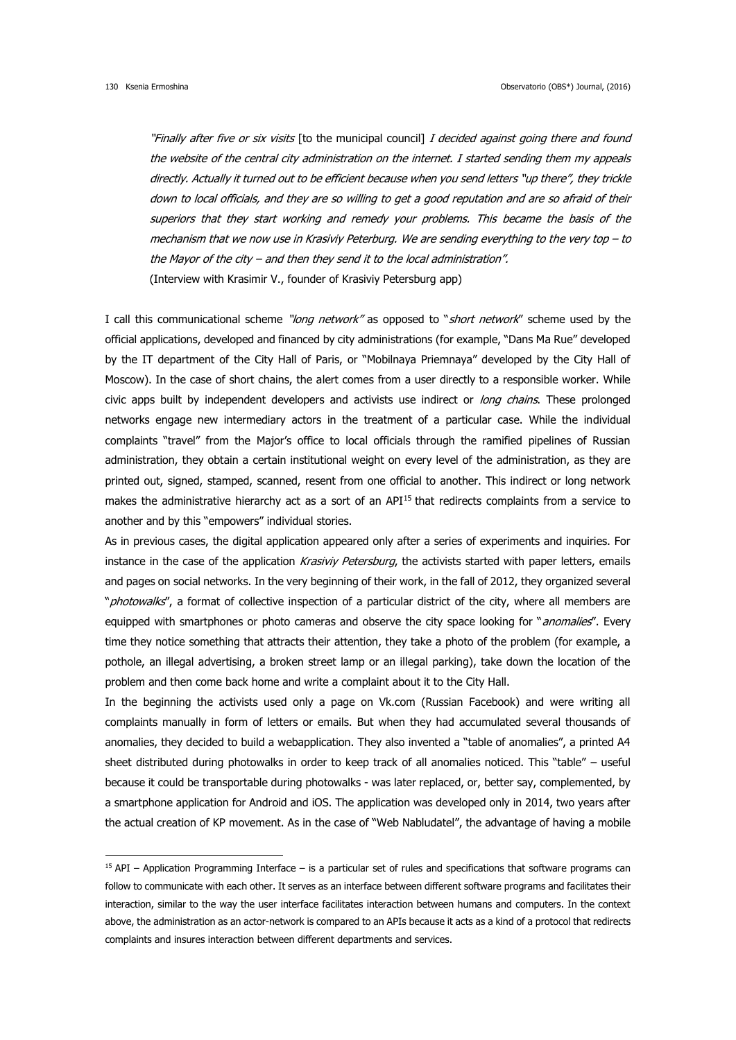<u>.</u>

"Finally after five or six visits [to the municipal council] I decided against going there and found the website of the central city administration on the internet. I started sending them my appeals directly. Actually it turned out to be efficient because when you send letters "up there", they trickle down to local officials, and they are so willing to get a good reputation and are so afraid of their superiors that they start working and remedy your problems. This became the basis of the mechanism that we now use in Krasiviy Peterburg. We are sending everything to the very top – to the Mayor of the city – and then they send it to the local administration". (Interview with Krasimir V., founder of Krasiviy Petersburg app)

I call this communicational scheme "*long network"* as opposed to "*short network*" scheme used by the official applications, developed and financed by city administrations (for example, "Dans Ma Rue" developed by the IT department of the City Hall of Paris, or "Mobilnaya Priemnaya" developed by the City Hall of Moscow). In the case of short chains, the alert comes from a user directly to a responsible worker. While civic apps built by independent developers and activists use indirect or *long chains*. These prolonged networks engage new intermediary actors in the treatment of a particular case. While the individual complaints "travel" from the Major's office to local officials through the ramified pipelines of Russian administration, they obtain a certain institutional weight on every level of the administration, as they are printed out, signed, stamped, scanned, resent from one official to another. This indirect or long network makes the administrative hierarchy act as a sort of an API<sup>15</sup> that redirects complaints from a service to another and by this "empowers" individual stories.

As in previous cases, the digital application appeared only after a series of experiments and inquiries. For instance in the case of the application Krasiviy Petersburg, the activists started with paper letters, emails and pages on social networks. In the very beginning of their work, in the fall of 2012, they organized several "photowalks", a format of collective inspection of a particular district of the city, where all members are equipped with smartphones or photo cameras and observe the city space looking for "*anomalies*". Every time they notice something that attracts their attention, they take a photo of the problem (for example, a pothole, an illegal advertising, a broken street lamp or an illegal parking), take down the location of the problem and then come back home and write a complaint about it to the City Hall.

In the beginning the activists used only a page on Vk.com (Russian Facebook) and were writing all complaints manually in form of letters or emails. But when they had accumulated several thousands of anomalies, they decided to build a webapplication. They also invented a "table of anomalies", a printed A4 sheet distributed during photowalks in order to keep track of all anomalies noticed. This "table" – useful because it could be transportable during photowalks - was later replaced, or, better say, complemented, by a smartphone application for Android and iOS. The application was developed only in 2014, two years after the actual creation of KP movement. As in the case of "Web Nabludatel", the advantage of having a mobile

 $<sup>15</sup>$  API – Application Programming Interface – is a particular set of rules and specifications that software programs can</sup> follow to communicate with each other. It serves as an interface between different software programs and facilitates their interaction, similar to the way the user interface facilitates interaction between humans and computers. In the context above, the administration as an actor-network is compared to an APIs because it acts as a kind of a protocol that redirects complaints and insures interaction between different departments and services.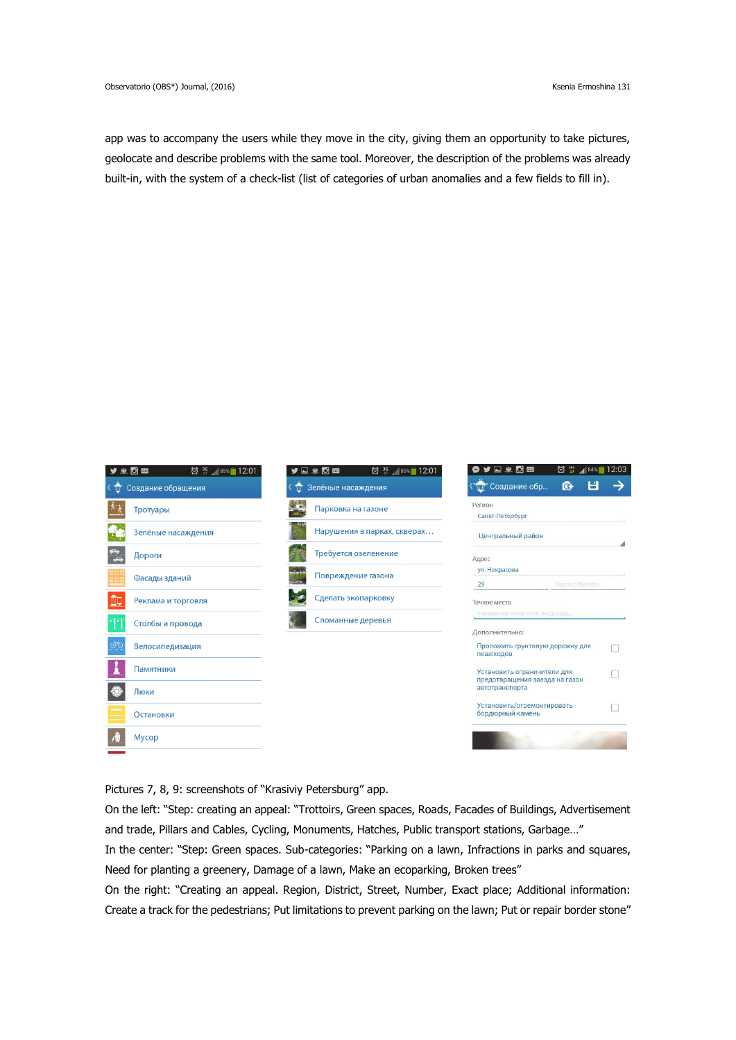app was to accompany the users while they move in the city, giving them an opportunity to take pictures, geolocate and describe problems with the same tool. Moreover, the description of the problems was already built-in, with the system of a check-list (list of categories of urban anomalies and a few fields to fill in).

|              | $\bigotimes_{1}^{36}$ $\bigotimes_{1}^{36}$ 85% 12:01<br>◘ ⊠ | $\bigotimes_{1}^{36}$ $\bigotimes_{1}^{36}$ $\bigotimes_{1}^{36}$ $\bigotimes_{1}^{36}$ $\bigotimes_{1}^{36}$ $\bigotimes_{1}^{36}$ $\bigotimes_{1}^{36}$ $\bigotimes_{1}^{36}$ $\bigotimes_{1}^{36}$ $\bigotimes_{1}^{36}$ $\bigotimes_{1}^{36}$ $\bigotimes_{1}^{36}$ $\bigotimes_{1}^{36}$ $\bigotimes_{1}^{36}$ $\bigotimes_{1}^{36}$ $\bigotimes_{1}^{36$<br>楽団画<br>$\Box$ | $\bigotimes_{1}^{11}$ $\frac{1}{11}$ 84%   12:03<br><b>YA #OM</b><br>æ, |
|--------------|--------------------------------------------------------------|---------------------------------------------------------------------------------------------------------------------------------------------------------------------------------------------------------------------------------------------------------------------------------------------------------------------------------------------------------------------------------|-------------------------------------------------------------------------|
|              | Создание обращения                                           | Ŵ<br>Зелёные насаждения                                                                                                                                                                                                                                                                                                                                                         | H<br>("\//" Создание обр<br>C+                                          |
|              | Тротуары                                                     | Парковка на газоне                                                                                                                                                                                                                                                                                                                                                              | Регион<br>Санкт-Петербург                                               |
|              | Зелёные насаждения                                           | Нарушения в парках, скверах                                                                                                                                                                                                                                                                                                                                                     | Центральный район                                                       |
|              | Дороги                                                       | Требуется озеленение                                                                                                                                                                                                                                                                                                                                                            | Адрес                                                                   |
| 6 6 E<br>885 | Фасады зданий                                                | Повреждение газона                                                                                                                                                                                                                                                                                                                                                              | ул. Некрасова<br>29<br>Корпус/Литера                                    |
| 25           | Реклама и торговля                                           | Сделать экопарковку                                                                                                                                                                                                                                                                                                                                                             | Точное место                                                            |
|              | Столбы и провода                                             | Сломанные деревья                                                                                                                                                                                                                                                                                                                                                               | Например: напротив подъезда                                             |
|              | Велосипедизация                                              |                                                                                                                                                                                                                                                                                                                                                                                 | Дополнительно:<br>Проложить грунтовую дорожку для<br>пешеходов          |
|              | Памятники                                                    |                                                                                                                                                                                                                                                                                                                                                                                 | Установить ограничители для                                             |
|              | Люки                                                         |                                                                                                                                                                                                                                                                                                                                                                                 | предотвращения заезда на газон<br>автотранспорта                        |
|              | Остановки                                                    |                                                                                                                                                                                                                                                                                                                                                                                 | Установить/отремонтировать<br>бордюрный камень                          |
|              | Mycop                                                        |                                                                                                                                                                                                                                                                                                                                                                                 |                                                                         |
|              |                                                              |                                                                                                                                                                                                                                                                                                                                                                                 |                                                                         |

Pictures 7, 8, 9: screenshots of "Krasiviy Petersburg" app.

On the left: "Step: creating an appeal: "Trottoirs, Green spaces, Roads, Facades of Buildings, Advertisement and trade, Pillars and Cables, Cycling, Monuments, Hatches, Public transport stations, Garbage…"

In the center: "Step: Green spaces. Sub-categories: "Parking on a lawn, Infractions in parks and squares, Need for planting a greenery, Damage of a lawn, Make an ecoparking, Broken trees"

On the right: "Creating an appeal. Region, District, Street, Number, Exact place; Additional information: Create a track for the pedestrians; Put limitations to prevent parking on the lawn; Put or repair border stone"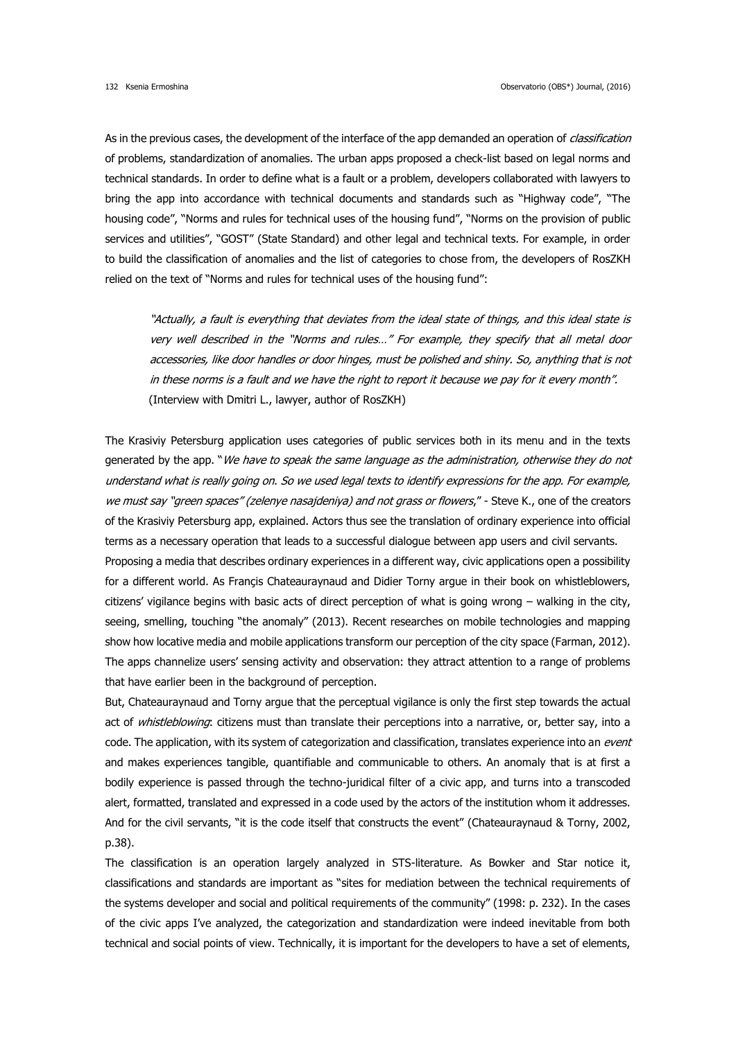As in the previous cases, the development of the interface of the app demanded an operation of *classification* of problems, standardization of anomalies. The urban apps proposed a check-list based on legal norms and technical standards. In order to define what is a fault or a problem, developers collaborated with lawyers to bring the app into accordance with technical documents and standards such as "Highway code", "The housing code", "Norms and rules for technical uses of the housing fund", "Norms on the provision of public services and utilities", "GOST" (State Standard) and other legal and technical texts. For example, in order to build the classification of anomalies and the list of categories to chose from, the developers of RosZKH relied on the text of "Norms and rules for technical uses of the housing fund":

"Actually, a fault is everything that deviates from the ideal state of things, and this ideal state is very well described in the "Norms and rules…" For example, they specify that all metal door accessories, like door handles or door hinges, must be polished and shiny. So, anything that is not in these norms is a fault and we have the right to report it because we pay for it every month". (Interview with Dmitri L., lawyer, author of RosZKH)

The Krasiviy Petersburg application uses categories of public services both in its menu and in the texts generated by the app. "We have to speak the same language as the administration, otherwise they do not understand what is really going on. So we used legal texts to identify expressions for the app. For example, we must say "green spaces" (zelenye nasajdeniya) and not grass or flowers," - Steve K., one of the creators of the Krasiviy Petersburg app, explained. Actors thus see the translation of ordinary experience into official terms as a necessary operation that leads to a successful dialogue between app users and civil servants. Proposing a media that describes ordinary experiences in a different way, civic applications open a possibility for a different world. As Françis Chateauraynaud and Didier Torny argue in their book on whistleblowers, citizens' vigilance begins with basic acts of direct perception of what is going wrong – walking in the city, seeing, smelling, touching "the anomaly" (2013). Recent researches on mobile technologies and mapping show how locative media and mobile applications transform our perception of the city space (Farman, 2012). The apps channelize users' sensing activity and observation: they attract attention to a range of problems that have earlier been in the background of perception.

But, Chateauraynaud and Torny argue that the perceptual vigilance is only the first step towards the actual act of whistleblowing: citizens must than translate their perceptions into a narrative, or, better say, into a code. The application, with its system of categorization and classification, translates experience into an event and makes experiences tangible, quantifiable and communicable to others. An anomaly that is at first a bodily experience is passed through the techno-juridical filter of a civic app, and turns into a transcoded alert, formatted, translated and expressed in a code used by the actors of the institution whom it addresses. And for the civil servants, "it is the code itself that constructs the event" (Chateauraynaud & Torny, 2002, p.38).

The classification is an operation largely analyzed in STS-literature. As Bowker and Star notice it, classifications and standards are important as "sites for mediation between the technical requirements of the systems developer and social and political requirements of the community" (1998: p. 232). In the cases of the civic apps I've analyzed, the categorization and standardization were indeed inevitable from both technical and social points of view. Technically, it is important for the developers to have a set of elements,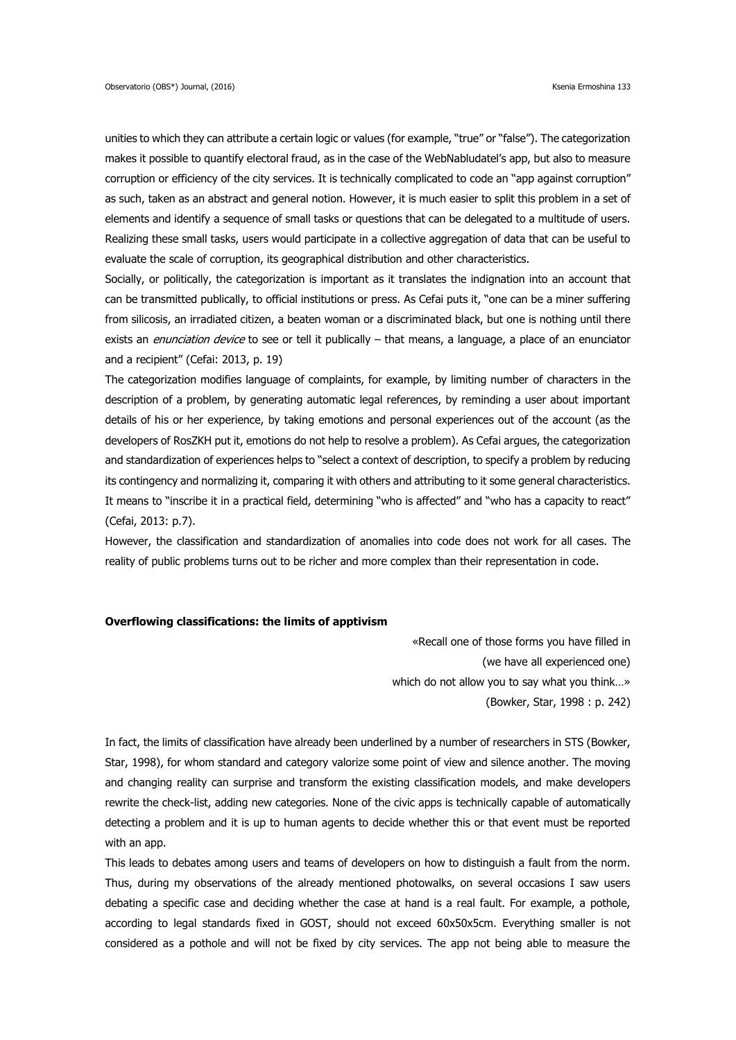unities to which they can attribute a certain logic or values (for example, "true" or "false"). The categorization makes it possible to quantify electoral fraud, as in the case of the WebNabludatel's app, but also to measure corruption or efficiency of the city services. It is technically complicated to code an "app against corruption" as such, taken as an abstract and general notion. However, it is much easier to split this problem in a set of elements and identify a sequence of small tasks or questions that can be delegated to a multitude of users. Realizing these small tasks, users would participate in a collective aggregation of data that can be useful to evaluate the scale of corruption, its geographical distribution and other characteristics.

Socially, or politically, the categorization is important as it translates the indignation into an account that can be transmitted publically, to official institutions or press. As Cefai puts it, "one can be a miner suffering from silicosis, an irradiated citizen, a beaten woman or a discriminated black, but one is nothing until there exists an *enunciation device* to see or tell it publically – that means, a language, a place of an enunciator and a recipient" (Cefai: 2013, p. 19)

The categorization modifies language of complaints, for example, by limiting number of characters in the description of a problem, by generating automatic legal references, by reminding a user about important details of his or her experience, by taking emotions and personal experiences out of the account (as the developers of RosZKH put it, emotions do not help to resolve a problem). As Cefai argues, the categorization and standardization of experiences helps to "select a context of description, to specify a problem by reducing its contingency and normalizing it, comparing it with others and attributing to it some general characteristics. It means to "inscribe it in a practical field, determining "who is affected" and "who has a capacity to react" (Cefai, 2013: p.7).

However, the classification and standardization of anomalies into code does not work for all cases. The reality of public problems turns out to be richer and more complex than their representation in code.

### **Overflowing classifications: the limits of apptivism**

«Recall one of those forms you have filled in (we have all experienced one) which do not allow you to say what you think…» (Bowker, Star, 1998 : p. 242)

In fact, the limits of classification have already been underlined by a number of researchers in STS (Bowker, Star, 1998), for whom standard and category valorize some point of view and silence another. The moving and changing reality can surprise and transform the existing classification models, and make developers rewrite the check-list, adding new categories. None of the civic apps is technically capable of automatically detecting a problem and it is up to human agents to decide whether this or that event must be reported with an app.

This leads to debates among users and teams of developers on how to distinguish a fault from the norm. Thus, during my observations of the already mentioned photowalks, on several occasions I saw users debating a specific case and deciding whether the case at hand is a real fault. For example, a pothole, according to legal standards fixed in GOST, should not exceed 60x50x5cm. Everything smaller is not considered as a pothole and will not be fixed by city services. The app not being able to measure the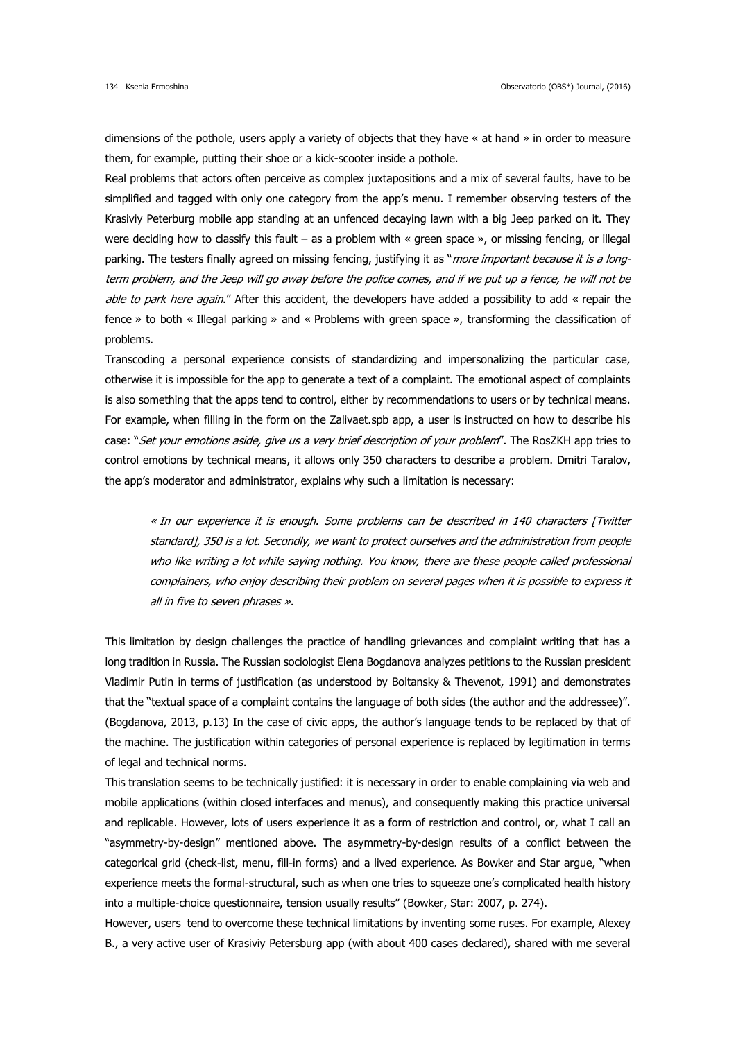dimensions of the pothole, users apply a variety of objects that they have « at hand » in order to measure them, for example, putting their shoe or a kick-scooter inside a pothole.

Real problems that actors often perceive as complex juxtapositions and a mix of several faults, have to be simplified and tagged with only one category from the app's menu. I remember observing testers of the Krasiviy Peterburg mobile app standing at an unfenced decaying lawn with a big Jeep parked on it. They were deciding how to classify this fault – as a problem with « green space », or missing fencing, or illegal parking. The testers finally agreed on missing fencing, justifying it as "more important because it is a longterm problem, and the Jeep will go away before the police comes, and if we put up a fence, he will not be able to park here again." After this accident, the developers have added a possibility to add « repair the fence » to both « Illegal parking » and « Problems with green space », transforming the classification of problems.

Transcoding a personal experience consists of standardizing and impersonalizing the particular case, otherwise it is impossible for the app to generate a text of a complaint. The emotional aspect of complaints is also something that the apps tend to control, either by recommendations to users or by technical means. For example, when filling in the form on the Zalivaet.spb app, a user is instructed on how to describe his case: "Set your emotions aside, give us a very brief description of your problem". The RosZKH app tries to control emotions by technical means, it allows only 350 characters to describe a problem. Dmitri Taralov, the app's moderator and administrator, explains why such a limitation is necessary:

« In our experience it is enough. Some problems can be described in 140 characters [Twitter standard], 350 is a lot. Secondly, we want to protect ourselves and the administration from people who like writing a lot while saying nothing. You know, there are these people called professional complainers, who enjoy describing their problem on several pages when it is possible to express it all in five to seven phrases ».

This limitation by design challenges the practice of handling grievances and complaint writing that has a long tradition in Russia. The Russian sociologist Elena Bogdanova analyzes petitions to the Russian president Vladimir Putin in terms of justification (as understood by Boltansky & Thevenot, 1991) and demonstrates that the "textual space of a complaint contains the language of both sides (the author and the addressee)". (Bogdanova, 2013, p.13) In the case of civic apps, the author's language tends to be replaced by that of the machine. The justification within categories of personal experience is replaced by legitimation in terms of legal and technical norms.

This translation seems to be technically justified: it is necessary in order to enable complaining via web and mobile applications (within closed interfaces and menus), and consequently making this practice universal and replicable. However, lots of users experience it as a form of restriction and control, or, what I call an "asymmetry-by-design" mentioned above. The asymmetry-by-design results of a conflict between the categorical grid (check-list, menu, fill-in forms) and a lived experience. As Bowker and Star argue, "when experience meets the formal-structural, such as when one tries to squeeze one's complicated health history into a multiple-choice questionnaire, tension usually results" (Bowker, Star: 2007, p. 274).

However, users tend to overcome these technical limitations by inventing some ruses. For example, Alexey B., a very active user of Krasiviy Petersburg app (with about 400 cases declared), shared with me several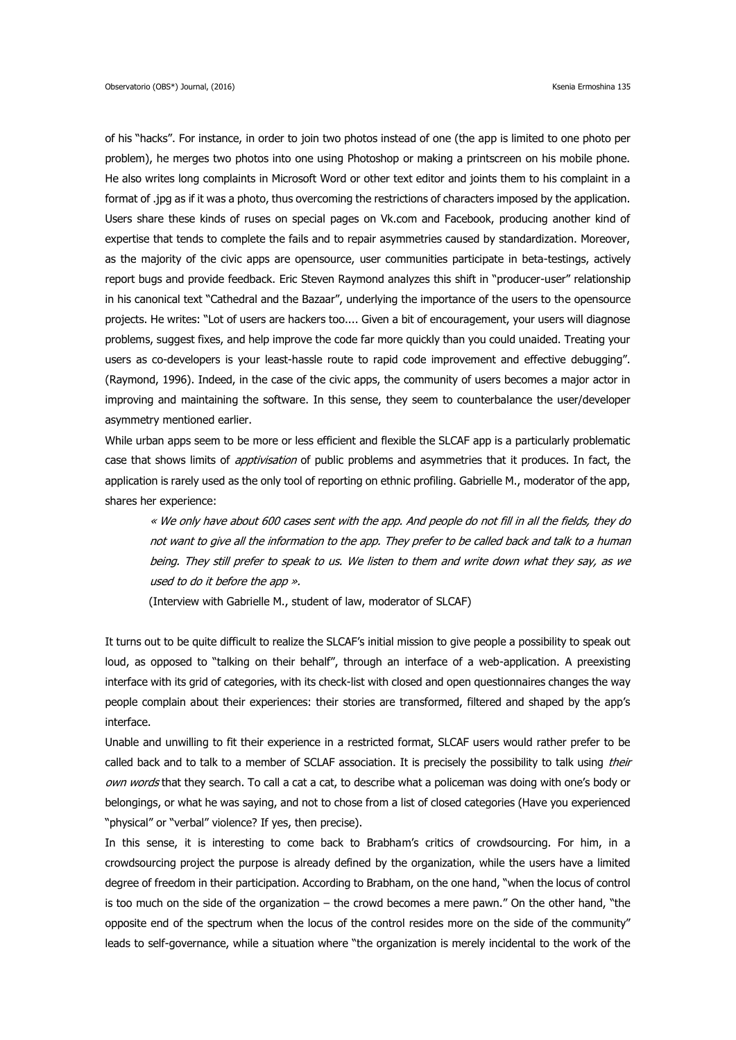of his "hacks". For instance, in order to join two photos instead of one (the app is limited to one photo per problem), he merges two photos into one using Photoshop or making a printscreen on his mobile phone. He also writes long complaints in Microsoft Word or other text editor and joints them to his complaint in a format of .jpg as if it was a photo, thus overcoming the restrictions of characters imposed by the application. Users share these kinds of ruses on special pages on Vk.com and Facebook, producing another kind of expertise that tends to complete the fails and to repair asymmetries caused by standardization. Moreover, as the majority of the civic apps are opensource, user communities participate in beta-testings, actively report bugs and provide feedback. Eric Steven Raymond analyzes this shift in "producer-user" relationship in his canonical text "Cathedral and the Bazaar", underlying the importance of the users to the opensource projects. He writes: "Lot of users are hackers too.... Given a bit of encouragement, your users will diagnose problems, suggest fixes, and help improve the code far more quickly than you could unaided. Treating your users as co-developers is your least-hassle route to rapid code improvement and effective debugging". (Raymond, 1996). Indeed, in the case of the civic apps, the community of users becomes a major actor in improving and maintaining the software. In this sense, they seem to counterbalance the user/developer asymmetry mentioned earlier.

While urban apps seem to be more or less efficient and flexible the SLCAF app is a particularly problematic case that shows limits of *apptivisation* of public problems and asymmetries that it produces. In fact, the application is rarely used as the only tool of reporting on ethnic profiling. Gabrielle M., moderator of the app, shares her experience:

« We only have about 600 cases sent with the app. And people do not fill in all the fields, they do not want to give all the information to the app. They prefer to be called back and talk to a human being. They still prefer to speak to us. We listen to them and write down what they say, as we used to do it before the app ».

(Interview with Gabrielle M., student of law, moderator of SLCAF)

It turns out to be quite difficult to realize the SLCAF's initial mission to give people a possibility to speak out loud, as opposed to "talking on their behalf", through an interface of a web-application. A preexisting interface with its grid of categories, with its check-list with closed and open questionnaires changes the way people complain about their experiences: their stories are transformed, filtered and shaped by the app's interface.

Unable and unwilling to fit their experience in a restricted format, SLCAF users would rather prefer to be called back and to talk to a member of SCLAF association. It is precisely the possibility to talk using their own words that they search. To call a cat a cat, to describe what a policeman was doing with one's body or belongings, or what he was saying, and not to chose from a list of closed categories (Have you experienced "physical" or "verbal" violence? If yes, then precise).

In this sense, it is interesting to come back to Brabham's critics of crowdsourcing. For him, in a crowdsourcing project the purpose is already defined by the organization, while the users have a limited degree of freedom in their participation. According to Brabham, on the one hand, "when the locus of control is too much on the side of the organization – the crowd becomes a mere pawn." On the other hand, "the opposite end of the spectrum when the locus of the control resides more on the side of the community" leads to self-governance, while a situation where "the organization is merely incidental to the work of the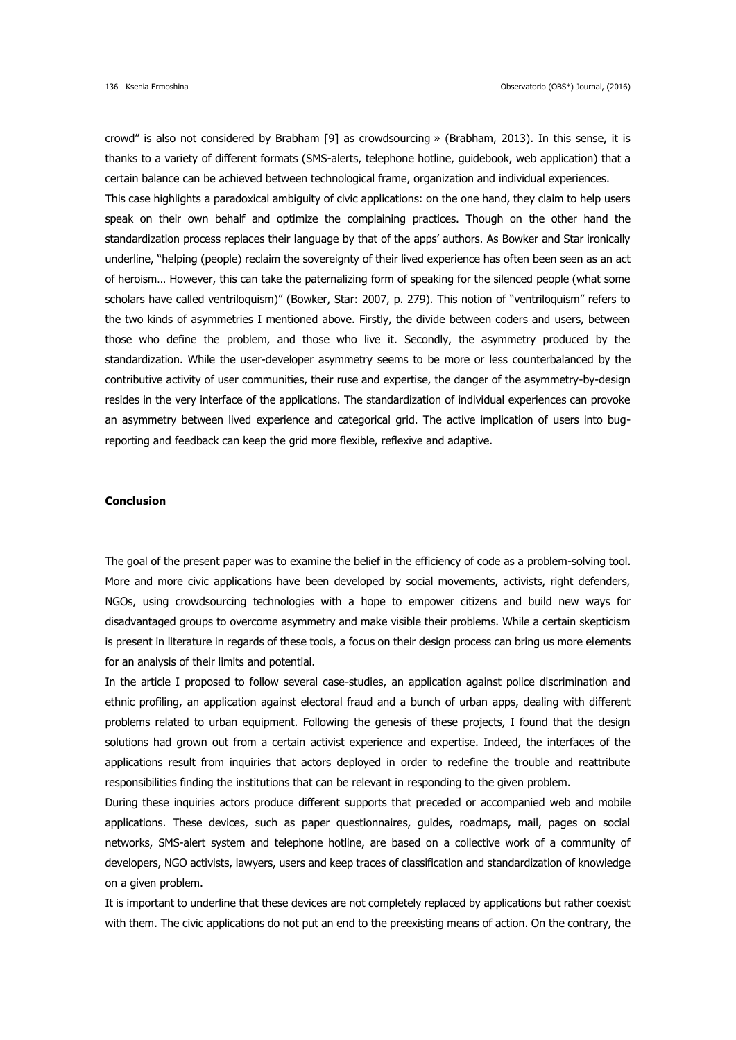crowd" is also not considered by Brabham [9] as crowdsourcing » (Brabham, 2013). In this sense, it is thanks to a variety of different formats (SMS-alerts, telephone hotline, guidebook, web application) that a certain balance can be achieved between technological frame, organization and individual experiences. This case highlights a paradoxical ambiguity of civic applications: on the one hand, they claim to help users speak on their own behalf and optimize the complaining practices. Though on the other hand the standardization process replaces their language by that of the apps' authors. As Bowker and Star ironically underline, "helping (people) reclaim the sovereignty of their lived experience has often been seen as an act of heroism… However, this can take the paternalizing form of speaking for the silenced people (what some scholars have called ventriloquism)" (Bowker, Star: 2007, p. 279). This notion of "ventriloquism" refers to the two kinds of asymmetries I mentioned above. Firstly, the divide between coders and users, between those who define the problem, and those who live it. Secondly, the asymmetry produced by the standardization. While the user-developer asymmetry seems to be more or less counterbalanced by the contributive activity of user communities, their ruse and expertise, the danger of the asymmetry-by-design resides in the very interface of the applications. The standardization of individual experiences can provoke an asymmetry between lived experience and categorical grid. The active implication of users into bugreporting and feedback can keep the grid more flexible, reflexive and adaptive.

## **Conclusion**

The goal of the present paper was to examine the belief in the efficiency of code as a problem-solving tool. More and more civic applications have been developed by social movements, activists, right defenders, NGOs, using crowdsourcing technologies with a hope to empower citizens and build new ways for disadvantaged groups to overcome asymmetry and make visible their problems. While a certain skepticism is present in literature in regards of these tools, a focus on their design process can bring us more elements for an analysis of their limits and potential.

In the article I proposed to follow several case-studies, an application against police discrimination and ethnic profiling, an application against electoral fraud and a bunch of urban apps, dealing with different problems related to urban equipment. Following the genesis of these projects, I found that the design solutions had grown out from a certain activist experience and expertise. Indeed, the interfaces of the applications result from inquiries that actors deployed in order to redefine the trouble and reattribute responsibilities finding the institutions that can be relevant in responding to the given problem.

During these inquiries actors produce different supports that preceded or accompanied web and mobile applications. These devices, such as paper questionnaires, guides, roadmaps, mail, pages on social networks, SMS-alert system and telephone hotline, are based on a collective work of a community of developers, NGO activists, lawyers, users and keep traces of classification and standardization of knowledge on a given problem.

It is important to underline that these devices are not completely replaced by applications but rather coexist with them. The civic applications do not put an end to the preexisting means of action. On the contrary, the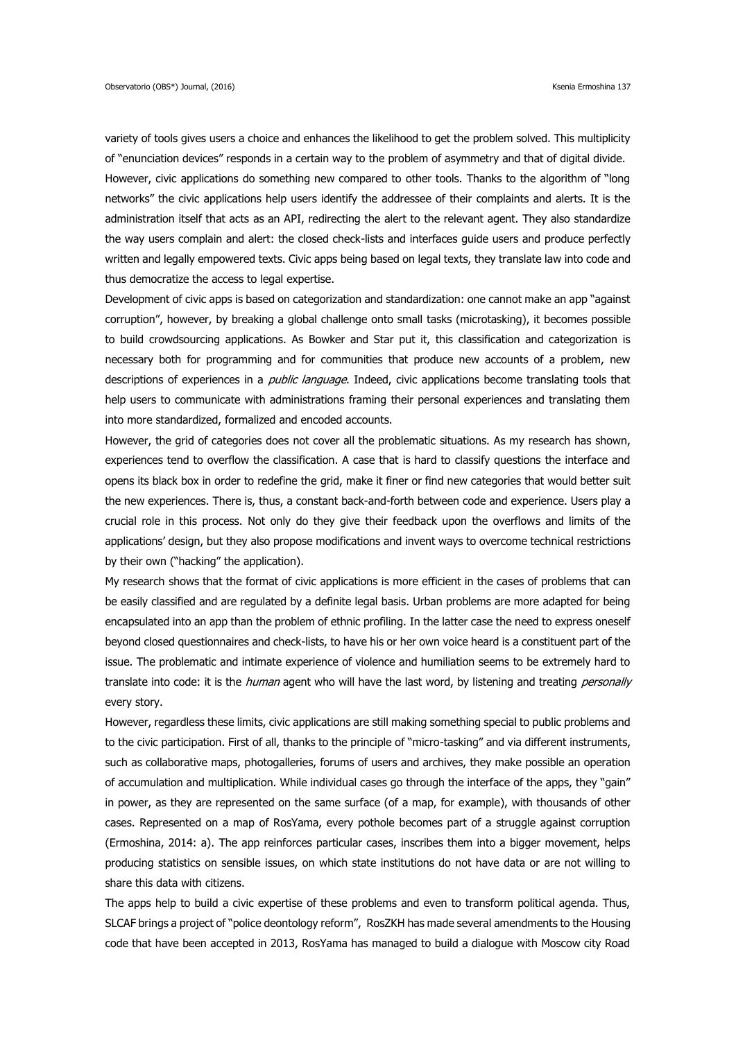variety of tools gives users a choice and enhances the likelihood to get the problem solved. This multiplicity of "enunciation devices" responds in a certain way to the problem of asymmetry and that of digital divide. However, civic applications do something new compared to other tools. Thanks to the algorithm of "long networks" the civic applications help users identify the addressee of their complaints and alerts. It is the administration itself that acts as an API, redirecting the alert to the relevant agent. They also standardize the way users complain and alert: the closed check-lists and interfaces guide users and produce perfectly written and legally empowered texts. Civic apps being based on legal texts, they translate law into code and thus democratize the access to legal expertise.

Development of civic apps is based on categorization and standardization: one cannot make an app "against corruption", however, by breaking a global challenge onto small tasks (microtasking), it becomes possible to build crowdsourcing applications. As Bowker and Star put it, this classification and categorization is necessary both for programming and for communities that produce new accounts of a problem, new descriptions of experiences in a *public language*. Indeed, civic applications become translating tools that help users to communicate with administrations framing their personal experiences and translating them into more standardized, formalized and encoded accounts.

However, the grid of categories does not cover all the problematic situations. As my research has shown, experiences tend to overflow the classification. A case that is hard to classify questions the interface and opens its black box in order to redefine the grid, make it finer or find new categories that would better suit the new experiences. There is, thus, a constant back-and-forth between code and experience. Users play a crucial role in this process. Not only do they give their feedback upon the overflows and limits of the applications' design, but they also propose modifications and invent ways to overcome technical restrictions by their own ("hacking" the application).

My research shows that the format of civic applications is more efficient in the cases of problems that can be easily classified and are regulated by a definite legal basis. Urban problems are more adapted for being encapsulated into an app than the problem of ethnic profiling. In the latter case the need to express oneself beyond closed questionnaires and check-lists, to have his or her own voice heard is a constituent part of the issue. The problematic and intimate experience of violence and humiliation seems to be extremely hard to translate into code: it is the *human* agent who will have the last word, by listening and treating *personally* every story.

However, regardless these limits, civic applications are still making something special to public problems and to the civic participation. First of all, thanks to the principle of "micro-tasking" and via different instruments, such as collaborative maps, photogalleries, forums of users and archives, they make possible an operation of accumulation and multiplication. While individual cases go through the interface of the apps, they "gain" in power, as they are represented on the same surface (of a map, for example), with thousands of other cases. Represented on a map of RosYama, every pothole becomes part of a struggle against corruption (Ermoshina, 2014: a). The app reinforces particular cases, inscribes them into a bigger movement, helps producing statistics on sensible issues, on which state institutions do not have data or are not willing to share this data with citizens.

The apps help to build a civic expertise of these problems and even to transform political agenda. Thus, SLCAF brings a project of "police deontology reform", RosZKH has made several amendments to the Housing code that have been accepted in 2013, RosYama has managed to build a dialogue with Moscow city Road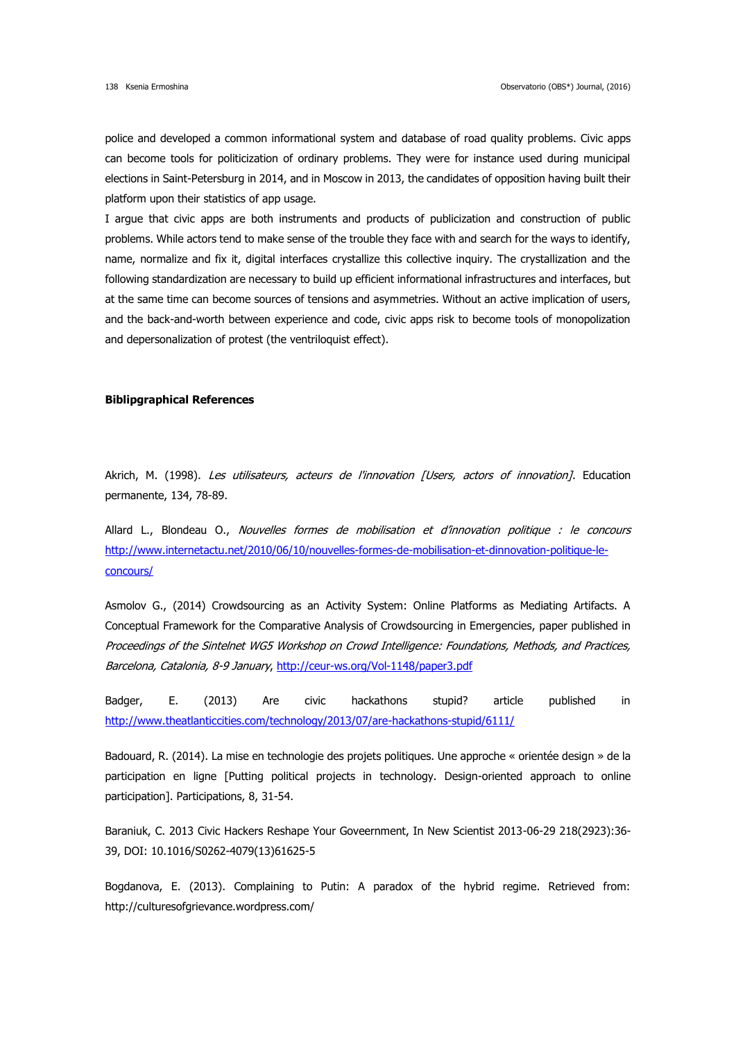police and developed a common informational system and database of road quality problems. Civic apps can become tools for politicization of ordinary problems. They were for instance used during municipal elections in Saint-Petersburg in 2014, and in Moscow in 2013, the candidates of opposition having built their platform upon their statistics of app usage.

I argue that civic apps are both instruments and products of publicization and construction of public problems. While actors tend to make sense of the trouble they face with and search for the ways to identify, name, normalize and fix it, digital interfaces crystallize this collective inquiry. The crystallization and the following standardization are necessary to build up efficient informational infrastructures and interfaces, but at the same time can become sources of tensions and asymmetries. Without an active implication of users, and the back-and-worth between experience and code, civic apps risk to become tools of monopolization and depersonalization of protest (the ventriloquist effect).

# **Biblipgraphical References**

Akrich, M. (1998). Les utilisateurs, acteurs de l'innovation [Users, actors of innovation]. Education permanente, 134, 78-89.

Allard L., Blondeau O., Nouvelles formes de mobilisation et d'innovation politique : le concours [http://www.internetactu.net/2010/06/10/nouvelles-formes-de-mobilisation-et-dinnovation-politique-le](http://www.internetactu.net/2010/06/10/nouvelles-formes-de-mobilisation-et-dinnovation-politique-le-concours/)[concours/](http://www.internetactu.net/2010/06/10/nouvelles-formes-de-mobilisation-et-dinnovation-politique-le-concours/)

Asmolov G., (2014) Crowdsourcing as an Activity System: Online Platforms as Mediating Artifacts. A Conceptual Framework for the Comparative Analysis of Crowdsourcing in Emergencies, paper published in Proceedings of the Sintelnet WG5 Workshop on Crowd Intelligence: Foundations, Methods, and Practices, Barcelona, Catalonia, 8-9 January,<http://ceur-ws.org/Vol-1148/paper3.pdf>

Badger, E. (2013) Are civic hackathons stupid? article published in <http://www.theatlanticcities.com/technology/2013/07/are-hackathons-stupid/6111/>

Badouard, R. (2014). La mise en technologie des projets politiques. Une approche « orientée design » de la participation en ligne [Putting political projects in technology. Design-oriented approach to online participation]. Participations, 8, 31-54.

Baraniuk, C. 2013 Civic Hackers Reshape Your Goveernment, In New Scientist 2013-06-29 218(2923):36- 39, DOI: 10.1016/S0262-4079(13)61625-5

Bogdanova, E. (2013). Complaining to Putin: A paradox of the hybrid regime. Retrieved from: http://culturesofgrievance.wordpress.com/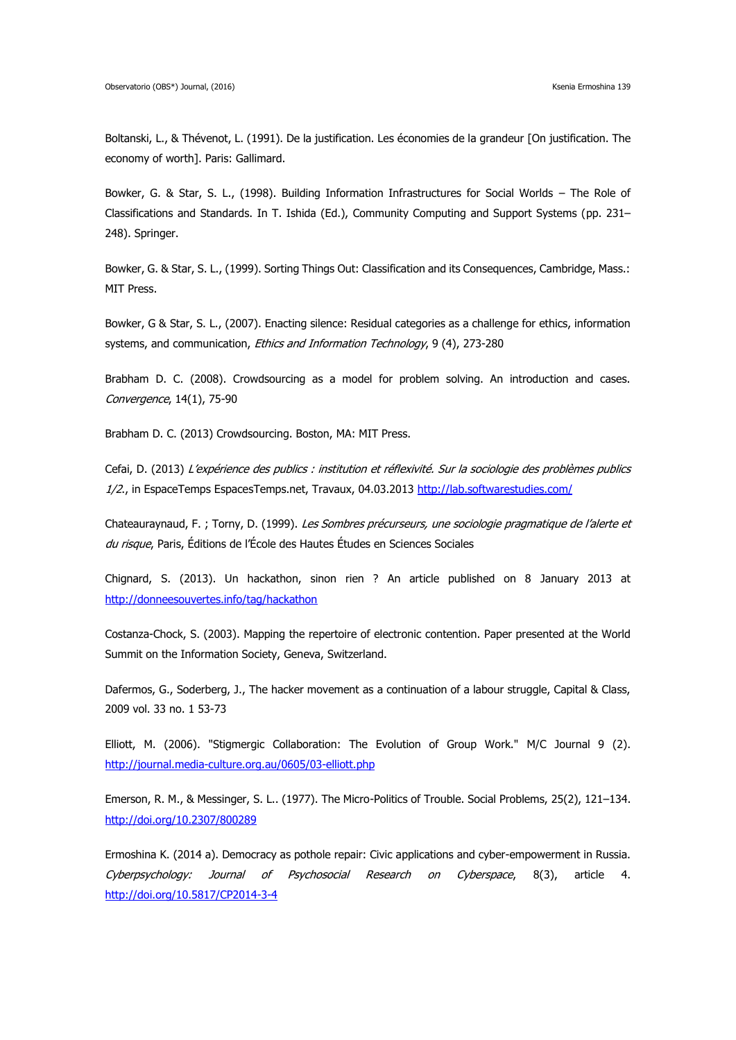Boltanski, L., & Thévenot, L. (1991). De la justification. Les économies de la grandeur [On justification. The economy of worth]. Paris: Gallimard.

Bowker, G. & Star, S. L., (1998). Building Information Infrastructures for Social Worlds – The Role of Classifications and Standards. In T. Ishida (Ed.), Community Computing and Support Systems (pp. 231– 248). Springer.

Bowker, G. & Star, S. L., (1999). Sorting Things Out: Classification and its Consequences, Cambridge, Mass.: MIT Press.

Bowker, G & Star, S. L., (2007). Enacting silence: Residual categories as a challenge for ethics, information systems, and communication, Ethics and Information Technology, 9 (4), 273-280

Brabham D. C. (2008). Crowdsourcing as a model for problem solving. An introduction and cases. Convergence, 14(1), 75-90

Brabham D. C. (2013) Crowdsourcing. Boston, MA: MIT Press.

Cefai, D. (2013) L'expérience des publics : institution et réflexivité. Sur la sociologie des problèmes publics 1/2., in EspaceTemps EspacesTemps.net, Travaux, 04.03.2013<http://lab.softwarestudies.com/>

Chateauraynaud, F. ; Torny, D. (1999). Les Sombres précurseurs, une sociologie pragmatique de l'alerte et du risque, Paris, Éditions de l'École des Hautes Études en Sciences Sociales

Chignard, S. (2013). Un hackathon, sinon rien ? An article published on 8 January 2013 at <http://donneesouvertes.info/tag/hackathon>

Costanza-Chock, S. (2003). Mapping the repertoire of electronic contention. Paper presented at the World Summit on the Information Society, Geneva, Switzerland.

Dafermos, G., Soderberg, J., The hacker movement as a continuation of a labour struggle, Capital & Class, 2009 vol. 33 no. 1 53-73

Elliott, M. (2006). "Stigmergic Collaboration: The Evolution of Group Work." M/C Journal 9 (2). <http://journal.media-culture.org.au/0605/03-elliott.php>

Emerson, R. M., & Messinger, S. L.. (1977). The Micro-Politics of Trouble. Social Problems, 25(2), 121–134. <http://doi.org/10.2307/800289>

Ermoshina K. (2014 a). Democracy as pothole repair: Civic applications and cyber-empowerment in Russia. Cyberpsychology: Journal of Psychosocial Research on Cyberspace, 8(3), article 4. <http://doi.org/10.5817/CP2014-3-4>